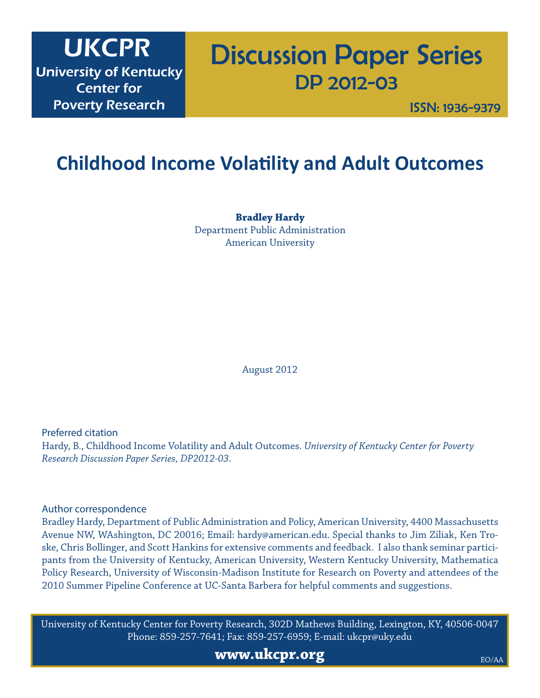## UKCPR

University of Kentucky Center for Poverty Research

# Discussion Paper Series DP 2012-03

ISSN: 1936-9379

## **Childhood Income Volatility and Adult Outcomes**

**Bradley Hardy** Department Public Administration American University

August 2012

Preferred citation

Hardy, B., Childhood Income Volatility and Adult Outcomes. *University of Kentucky Center for Poverty Research Discussion Paper Series, DP2012-03*.

Author correspondence

Bradley Hardy, Department of Public Administration and Policy, American University, 4400 Massachusetts Avenue NW, WAshington, DC 20016; Email: hardy@american.edu. Special thanks to Jim Ziliak, Ken Troske, Chris Bollinger, and Scott Hankins for extensive comments and feedback. I also thank seminar participants from the University of Kentucky, American University, Western Kentucky University, Mathematica Policy Research, University of Wisconsin-Madison Institute for Research on Poverty and attendees of the 2010 Summer Pipeline Conference at UC-Santa Barbera for helpful comments and suggestions.

University of Kentucky Center for Poverty Research, 302D Mathews Building, Lexington, KY, 40506-0047 Phone: 859-257-7641; Fax: 859-257-6959; E-mail: ukcpr@uky.edu

**www.ukcpr.org**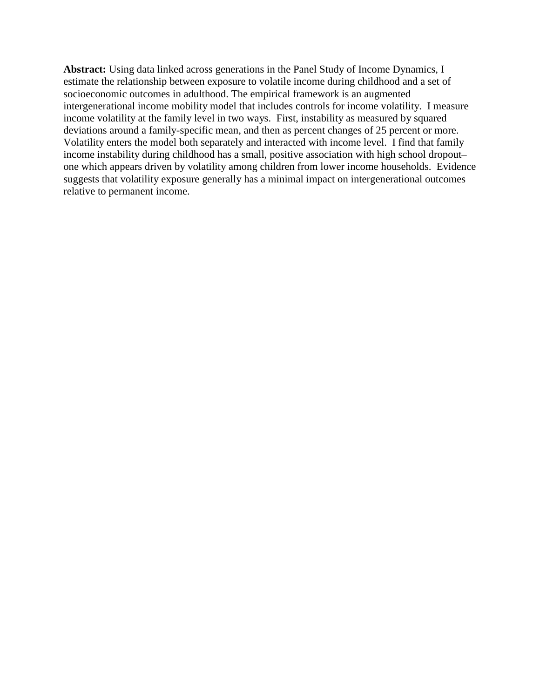**Abstract:** Using data linked across generations in the Panel Study of Income Dynamics, I estimate the relationship between exposure to volatile income during childhood and a set of socioeconomic outcomes in adulthood. The empirical framework is an augmented intergenerational income mobility model that includes controls for income volatility. I measure income volatility at the family level in two ways. First, instability as measured by squared deviations around a family-specific mean, and then as percent changes of 25 percent or more. Volatility enters the model both separately and interacted with income level. I find that family income instability during childhood has a small, positive association with high school dropout– one which appears driven by volatility among children from lower income households. Evidence suggests that volatility exposure generally has a minimal impact on intergenerational outcomes relative to permanent income.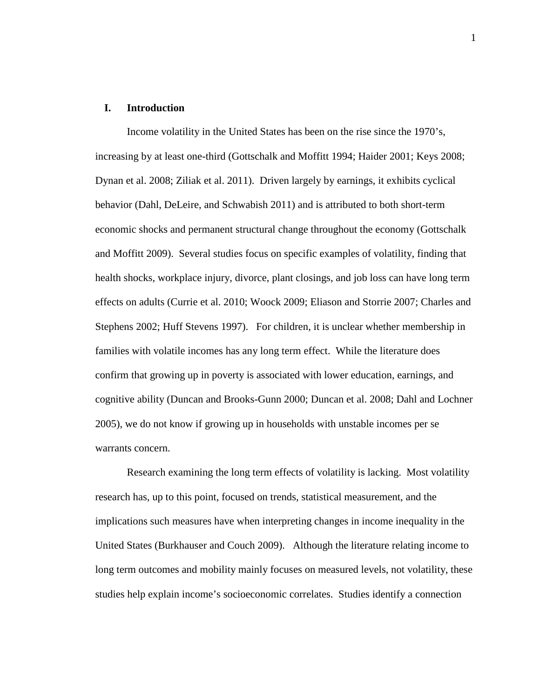#### **I. Introduction**

Income volatility in the United States has been on the rise since the 1970's, increasing by at least one-third (Gottschalk and Moffitt 1994; Haider 2001; Keys 2008; Dynan et al. 2008; Ziliak et al. 2011). Driven largely by earnings, it exhibits cyclical behavior (Dahl, DeLeire, and Schwabish 2011) and is attributed to both short-term economic shocks and permanent structural change throughout the economy (Gottschalk and Moffitt 2009). Several studies focus on specific examples of volatility, finding that health shocks, workplace injury, divorce, plant closings, and job loss can have long term effects on adults (Currie et al. 2010; Woock 2009; Eliason and Storrie 2007; Charles and Stephens 2002; Huff Stevens 1997). For children, it is unclear whether membership in families with volatile incomes has any long term effect. While the literature does confirm that growing up in poverty is associated with lower education, earnings, and cognitive ability (Duncan and Brooks-Gunn 2000; Duncan et al. 2008; Dahl and Lochner 2005), we do not know if growing up in households with unstable incomes per se warrants concern.

Research examining the long term effects of volatility is lacking. Most volatility research has, up to this point, focused on trends, statistical measurement, and the implications such measures have when interpreting changes in income inequality in the United States (Burkhauser and Couch 2009). Although the literature relating income to long term outcomes and mobility mainly focuses on measured levels, not volatility, these studies help explain income's socioeconomic correlates. Studies identify a connection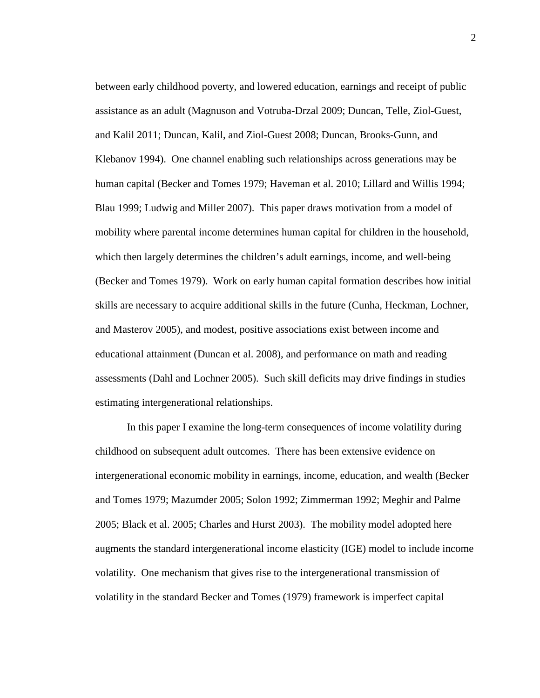between early childhood poverty, and lowered education, earnings and receipt of public assistance as an adult (Magnuson and Votruba-Drzal 2009; Duncan, Telle, Ziol-Guest, and Kalil 2011; Duncan, Kalil, and Ziol-Guest 2008; Duncan, Brooks-Gunn, and Klebanov 1994). One channel enabling such relationships across generations may be human capital (Becker and Tomes 1979; Haveman et al. 2010; Lillard and Willis 1994; Blau 1999; Ludwig and Miller 2007). This paper draws motivation from a model of mobility where parental income determines human capital for children in the household, which then largely determines the children's adult earnings, income, and well-being (Becker and Tomes 1979). Work on early human capital formation describes how initial skills are necessary to acquire additional skills in the future (Cunha, Heckman, Lochner, and Masterov 2005), and modest, positive associations exist between income and educational attainment (Duncan et al. 2008), and performance on math and reading assessments (Dahl and Lochner 2005). Such skill deficits may drive findings in studies estimating intergenerational relationships.

In this paper I examine the long-term consequences of income volatility during childhood on subsequent adult outcomes. There has been extensive evidence on intergenerational economic mobility in earnings, income, education, and wealth (Becker and Tomes 1979; Mazumder 2005; Solon 1992; Zimmerman 1992; Meghir and Palme 2005; Black et al. 2005; Charles and Hurst 2003). The mobility model adopted here augments the standard intergenerational income elasticity (IGE) model to include income volatility. One mechanism that gives rise to the intergenerational transmission of volatility in the standard Becker and Tomes (1979) framework is imperfect capital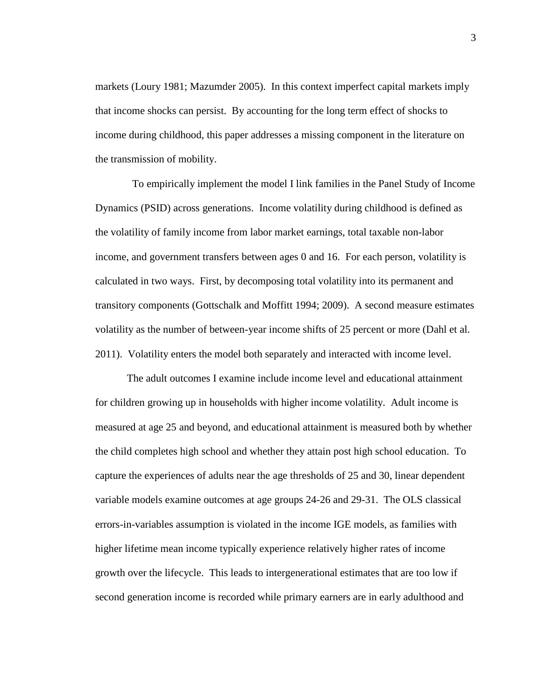markets (Loury 1981; Mazumder 2005). In this context imperfect capital markets imply that income shocks can persist. By accounting for the long term effect of shocks to income during childhood, this paper addresses a missing component in the literature on the transmission of mobility.

 To empirically implement the model I link families in the Panel Study of Income Dynamics (PSID) across generations. Income volatility during childhood is defined as the volatility of family income from labor market earnings, total taxable non-labor income, and government transfers between ages 0 and 16. For each person, volatility is calculated in two ways. First, by decomposing total volatility into its permanent and transitory components (Gottschalk and Moffitt 1994; 2009). A second measure estimates volatility as the number of between-year income shifts of 25 percent or more (Dahl et al. 2011). Volatility enters the model both separately and interacted with income level.

The adult outcomes I examine include income level and educational attainment for children growing up in households with higher income volatility. Adult income is measured at age 25 and beyond, and educational attainment is measured both by whether the child completes high school and whether they attain post high school education. To capture the experiences of adults near the age thresholds of 25 and 30, linear dependent variable models examine outcomes at age groups 24-26 and 29-31. The OLS classical errors-in-variables assumption is violated in the income IGE models, as families with higher lifetime mean income typically experience relatively higher rates of income growth over the lifecycle. This leads to intergenerational estimates that are too low if second generation income is recorded while primary earners are in early adulthood and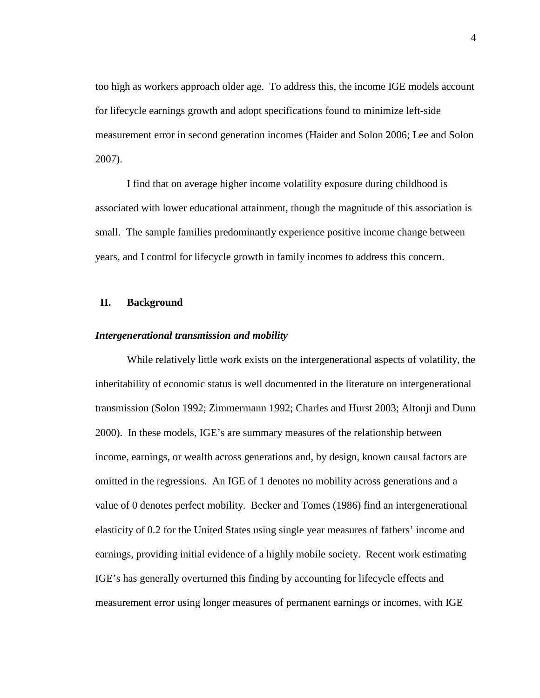too high as workers approach older age. To address this, the income IGE models account for lifecycle earnings growth and adopt specifications found to minimize left-side measurement error in second generation incomes (Haider and Solon 2006; Lee and Solon 2007).

I find that on average higher income volatility exposure during childhood is associated with lower educational attainment, though the magnitude of this association is small. The sample families predominantly experience positive income change between years, and I control for lifecycle growth in family incomes to address this concern.

#### **II. Background**

#### *Intergenerational transmission and mobility*

While relatively little work exists on the intergenerational aspects of volatility, the inheritability of economic status is well documented in the literature on intergenerational transmission (Solon 1992; Zimmermann 1992; Charles and Hurst 2003; Altonji and Dunn 2000). In these models, IGE's are summary measures of the relationship between income, earnings, or wealth across generations and, by design, known causal factors are omitted in the regressions. An IGE of 1 denotes no mobility across generations and a value of 0 denotes perfect mobility. Becker and Tomes (1986) find an intergenerational elasticity of 0.2 for the United States using single year measures of fathers' income and earnings, providing initial evidence of a highly mobile society. Recent work estimating IGE's has generally overturned this finding by accounting for lifecycle effects and measurement error using longer measures of permanent earnings or incomes, with IGE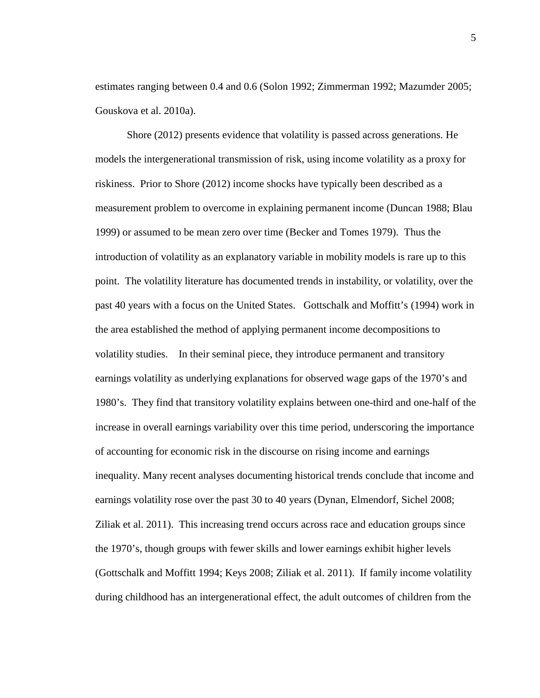estimates ranging between 0.4 and 0.6 (Solon 1992; Zimmerman 1992; Mazumder 2005; Gouskova et al. 2010a).

Shore (2012) presents evidence that volatility is passed across generations. He models the intergenerational transmission of risk, using income volatility as a proxy for riskiness. Prior to Shore (2012) income shocks have typically been described as a measurement problem to overcome in explaining permanent income (Duncan 1988; Blau 1999) or assumed to be mean zero over time (Becker and Tomes 1979). Thus the introduction of volatility as an explanatory variable in mobility models is rare up to this point. The volatility literature has documented trends in instability, or volatility, over the past 40 years with a focus on the United States. Gottschalk and Moffitt's (1994) work in the area established the method of applying permanent income decompositions to volatility studies. In their seminal piece, they introduce permanent and transitory earnings volatility as underlying explanations for observed wage gaps of the 1970's and 1980's. They find that transitory volatility explains between one-third and one-half of the increase in overall earnings variability over this time period, underscoring the importance of accounting for economic risk in the discourse on rising income and earnings inequality. Many recent analyses documenting historical trends conclude that income and earnings volatility rose over the past 30 to 40 years (Dynan, Elmendorf, Sichel 2008; Ziliak et al. 2011). This increasing trend occurs across race and education groups since the 1970's, though groups with fewer skills and lower earnings exhibit higher levels (Gottschalk and Moffitt 1994; Keys 2008; Ziliak et al. 2011). If family income volatility during childhood has an intergenerational effect, the adult outcomes of children from the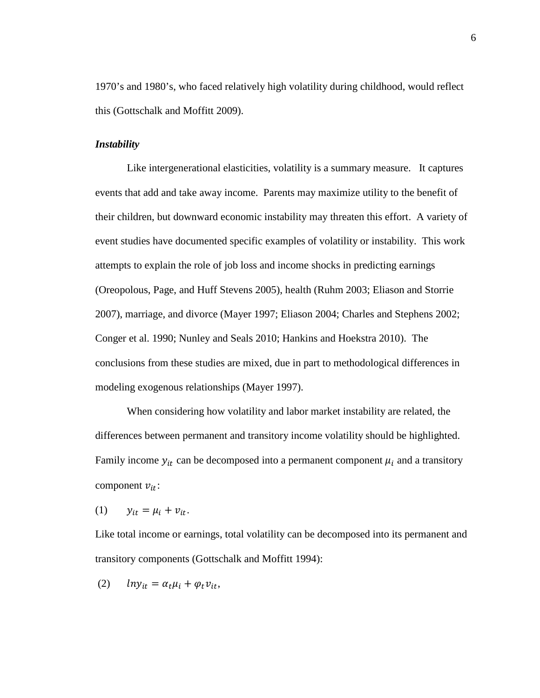1970's and 1980's, who faced relatively high volatility during childhood, would reflect this (Gottschalk and Moffitt 2009).

#### *Instability*

Like intergenerational elasticities, volatility is a summary measure. It captures events that add and take away income. Parents may maximize utility to the benefit of their children, but downward economic instability may threaten this effort. A variety of event studies have documented specific examples of volatility or instability. This work attempts to explain the role of job loss and income shocks in predicting earnings (Oreopolous, Page, and Huff Stevens 2005), health (Ruhm 2003; Eliason and Storrie 2007), marriage, and divorce (Mayer 1997; Eliason 2004; Charles and Stephens 2002; Conger et al. 1990; Nunley and Seals 2010; Hankins and Hoekstra 2010). The conclusions from these studies are mixed, due in part to methodological differences in modeling exogenous relationships (Mayer 1997).

 When considering how volatility and labor market instability are related, the differences between permanent and transitory income volatility should be highlighted. Family income  $y_{it}$  can be decomposed into a permanent component  $\mu_i$  and a transitory component  $v_{it}$ :

$$
(1) \qquad y_{it} = \mu_i + v_{it}.
$$

Like total income or earnings, total volatility can be decomposed into its permanent and transitory components (Gottschalk and Moffitt 1994):

$$
(2) \qquad lny_{it} = \alpha_t \mu_i + \varphi_t v_{it},
$$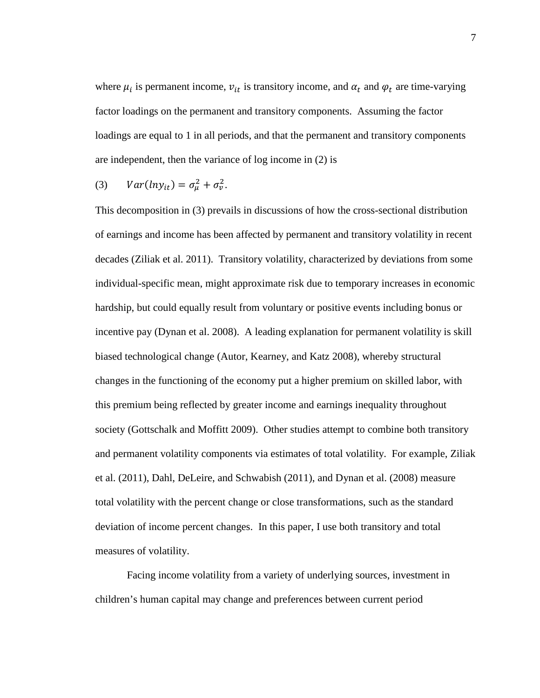where  $\mu_i$  is permanent income,  $v_{it}$  is transitory income, and  $\alpha_t$  and  $\varphi_t$  are time-varying factor loadings on the permanent and transitory components. Assuming the factor loadings are equal to 1 in all periods, and that the permanent and transitory components are independent, then the variance of log income in (2) is

(3) 
$$
Var(lny_{it}) = \sigma_{\mu}^2 + \sigma_{\nu}^2
$$
.

This decomposition in (3) prevails in discussions of how the cross-sectional distribution of earnings and income has been affected by permanent and transitory volatility in recent decades (Ziliak et al. 2011). Transitory volatility, characterized by deviations from some individual-specific mean, might approximate risk due to temporary increases in economic hardship, but could equally result from voluntary or positive events including bonus or incentive pay (Dynan et al. 2008). A leading explanation for permanent volatility is skill biased technological change (Autor, Kearney, and Katz 2008), whereby structural changes in the functioning of the economy put a higher premium on skilled labor, with this premium being reflected by greater income and earnings inequality throughout society (Gottschalk and Moffitt 2009). Other studies attempt to combine both transitory and permanent volatility components via estimates of total volatility. For example, Ziliak et al. (2011), Dahl, DeLeire, and Schwabish (2011), and Dynan et al. (2008) measure total volatility with the percent change or close transformations, such as the standard deviation of income percent changes. In this paper, I use both transitory and total measures of volatility.

 Facing income volatility from a variety of underlying sources, investment in children's human capital may change and preferences between current period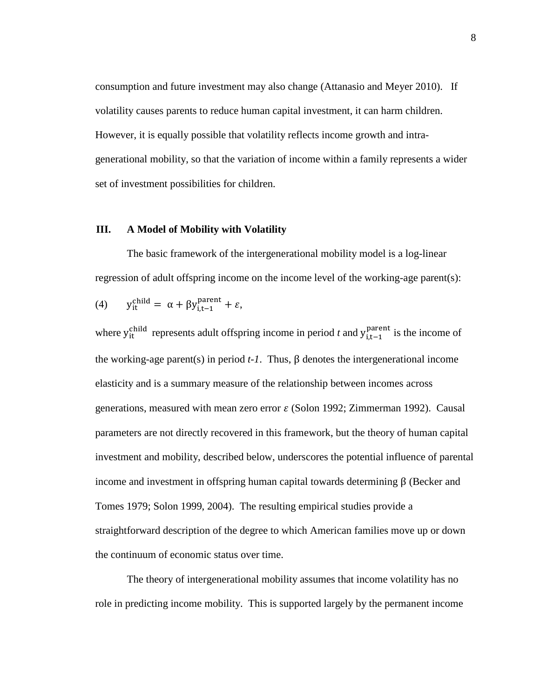consumption and future investment may also change (Attanasio and Meyer 2010). If volatility causes parents to reduce human capital investment, it can harm children. However, it is equally possible that volatility reflects income growth and intragenerational mobility, so that the variation of income within a family represents a wider set of investment possibilities for children.

#### **III. A Model of Mobility with Volatility**

The basic framework of the intergenerational mobility model is a log-linear regression of adult offspring income on the income level of the working-age parent(s):

(4) 
$$
y_{it}^{child} = \alpha + \beta y_{i,t-1}^{parent} + \varepsilon
$$
,

where  $y_{it}^{\text{child}}$  represents adult offspring income in period *t* and  $y_{i,t-1}^{\text{parent}}$  is the income of the working-age parent(s) in period *t*-1. Thus, β denotes the intergenerational income elasticity and is a summary measure of the relationship between incomes across generations, measured with mean zero error  $\varepsilon$  (Solon 1992; Zimmerman 1992). Causal parameters are not directly recovered in this framework, but the theory of human capital investment and mobility, described below, underscores the potential influence of parental income and investment in offspring human capital towards determining β (Becker and Tomes 1979; Solon 1999, 2004). The resulting empirical studies provide a straightforward description of the degree to which American families move up or down the continuum of economic status over time.

The theory of intergenerational mobility assumes that income volatility has no role in predicting income mobility. This is supported largely by the permanent income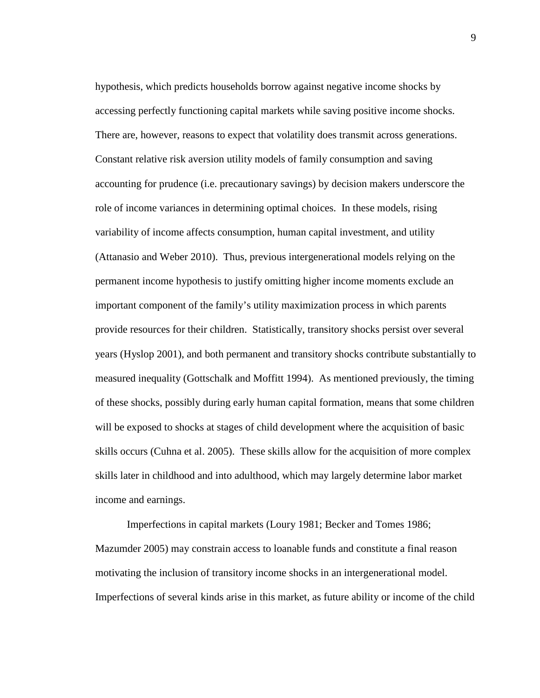hypothesis, which predicts households borrow against negative income shocks by accessing perfectly functioning capital markets while saving positive income shocks. There are, however, reasons to expect that volatility does transmit across generations. Constant relative risk aversion utility models of family consumption and saving accounting for prudence (i.e. precautionary savings) by decision makers underscore the role of income variances in determining optimal choices. In these models, rising variability of income affects consumption, human capital investment, and utility (Attanasio and Weber 2010). Thus, previous intergenerational models relying on the permanent income hypothesis to justify omitting higher income moments exclude an important component of the family's utility maximization process in which parents provide resources for their children. Statistically, transitory shocks persist over several years (Hyslop 2001), and both permanent and transitory shocks contribute substantially to measured inequality (Gottschalk and Moffitt 1994). As mentioned previously, the timing of these shocks, possibly during early human capital formation, means that some children will be exposed to shocks at stages of child development where the acquisition of basic skills occurs (Cuhna et al. 2005). These skills allow for the acquisition of more complex skills later in childhood and into adulthood, which may largely determine labor market income and earnings.

Imperfections in capital markets (Loury 1981; Becker and Tomes 1986; Mazumder 2005) may constrain access to loanable funds and constitute a final reason motivating the inclusion of transitory income shocks in an intergenerational model. Imperfections of several kinds arise in this market, as future ability or income of the child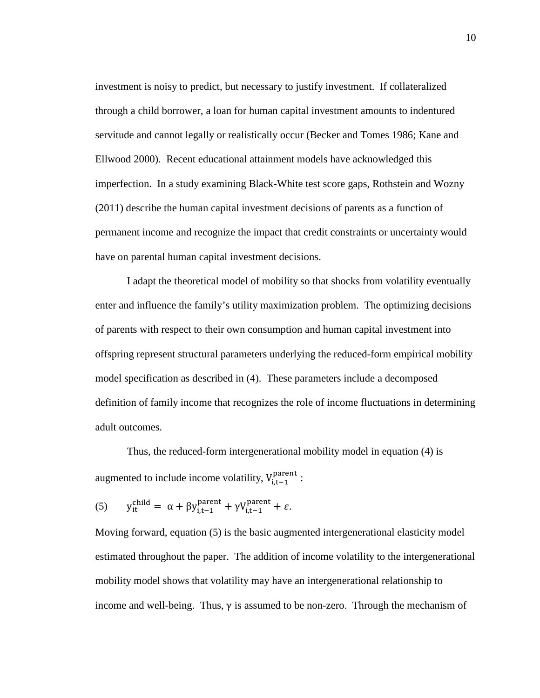investment is noisy to predict, but necessary to justify investment. If collateralized through a child borrower, a loan for human capital investment amounts to indentured servitude and cannot legally or realistically occur (Becker and Tomes 1986; Kane and Ellwood 2000). Recent educational attainment models have acknowledged this imperfection. In a study examining Black-White test score gaps, Rothstein and Wozny (2011) describe the human capital investment decisions of parents as a function of permanent income and recognize the impact that credit constraints or uncertainty would have on parental human capital investment decisions.

I adapt the theoretical model of mobility so that shocks from volatility eventually enter and influence the family's utility maximization problem. The optimizing decisions of parents with respect to their own consumption and human capital investment into offspring represent structural parameters underlying the reduced-form empirical mobility model specification as described in (4). These parameters include a decomposed definition of family income that recognizes the role of income fluctuations in determining adult outcomes.

Thus, the reduced-form intergenerational mobility model in equation (4) is augmented to include income volatility,  $V_{i,t-1}^{parent}$ :

(5) 
$$
y_{it}^{child} = \alpha + \beta y_{i,t-1}^{parent} + \gamma V_{i,t-1}^{parent} + \varepsilon
$$
.

Moving forward, equation (5) is the basic augmented intergenerational elasticity model estimated throughout the paper. The addition of income volatility to the intergenerational mobility model shows that volatility may have an intergenerational relationship to income and well-being. Thus,  $\gamma$  is assumed to be non-zero. Through the mechanism of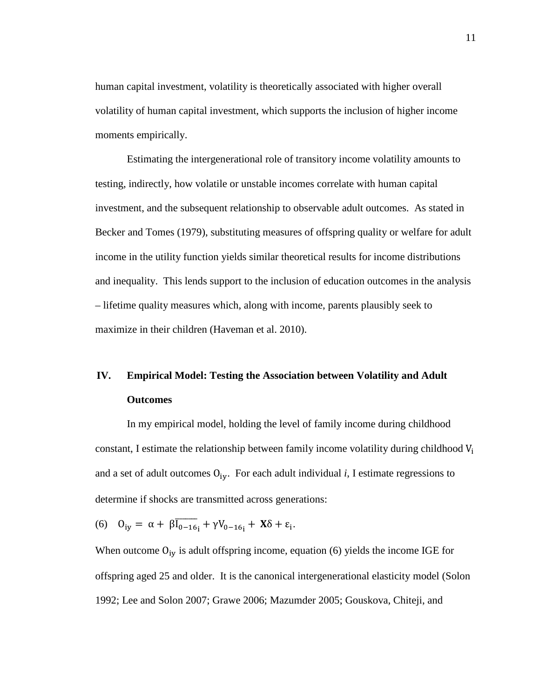human capital investment, volatility is theoretically associated with higher overall volatility of human capital investment, which supports the inclusion of higher income moments empirically.

Estimating the intergenerational role of transitory income volatility amounts to testing, indirectly, how volatile or unstable incomes correlate with human capital investment, and the subsequent relationship to observable adult outcomes. As stated in Becker and Tomes (1979), substituting measures of offspring quality or welfare for adult income in the utility function yields similar theoretical results for income distributions and inequality. This lends support to the inclusion of education outcomes in the analysis – lifetime quality measures which, along with income, parents plausibly seek to maximize in their children (Haveman et al. 2010).

### **IV. Empirical Model: Testing the Association between Volatility and Adult Outcomes**

 In my empirical model, holding the level of family income during childhood constant, I estimate the relationship between family income volatility during childhood  $V_i$ and a set of adult outcomes  $O_{iv}$ . For each adult individual *i*, I estimate regressions to determine if shocks are transmitted across generations:

(6)  $0_{ij} = \alpha + \beta I_{0-16i} + \gamma V_{0-16i} + X\delta + \varepsilon_i$ .

When outcome  $O_{iy}$  is adult offspring income, equation (6) yields the income IGE for offspring aged 25 and older. It is the canonical intergenerational elasticity model (Solon 1992; Lee and Solon 2007; Grawe 2006; Mazumder 2005; Gouskova, Chiteji, and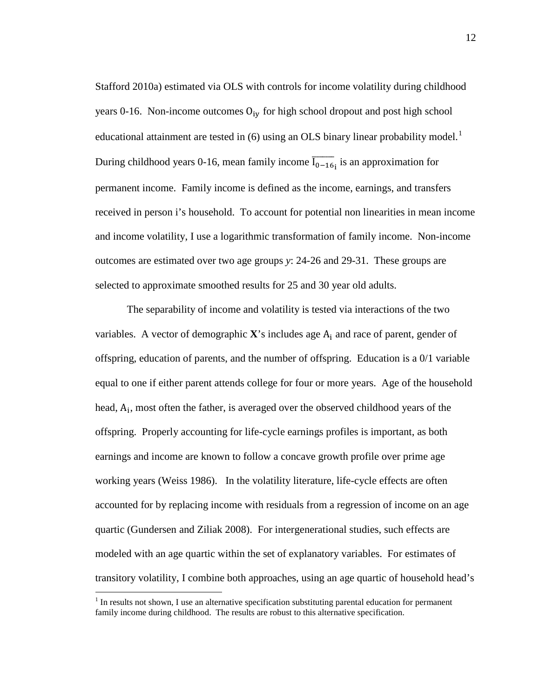Stafford 2010a) estimated via OLS with controls for income volatility during childhood years 0-16. Non-income outcomes  $O_{i*y*}$  for high school dropout and post high school educational attainment are tested in (6) using an OLS binary linear probability model.<sup>[1](#page-13-0)</sup> During childhood years 0-16, mean family income  $\overline{I_{0-16}}_i$  is an approximation for permanent income. Family income is defined as the income, earnings, and transfers received in person i's household. To account for potential non linearities in mean income and income volatility, I use a logarithmic transformation of family income. Non-income outcomes are estimated over two age groups *y*: 24-26 and 29-31. These groups are selected to approximate smoothed results for 25 and 30 year old adults.

The separability of income and volatility is tested via interactions of the two variables. A vector of demographic  $\mathbf{X}$ 's includes age  $A_i$  and race of parent, gender of offspring, education of parents, and the number of offspring. Education is a 0/1 variable equal to one if either parent attends college for four or more years. Age of the household head,  $A_i$ , most often the father, is averaged over the observed childhood years of the offspring. Properly accounting for life-cycle earnings profiles is important, as both earnings and income are known to follow a concave growth profile over prime age working years (Weiss 1986). In the volatility literature, life-cycle effects are often accounted for by replacing income with residuals from a regression of income on an age quartic (Gundersen and Ziliak 2008). For intergenerational studies, such effects are modeled with an age quartic within the set of explanatory variables. For estimates of transitory volatility, I combine both approaches, using an age quartic of household head's

 $\overline{a}$ 

12

<span id="page-13-0"></span> $1$  In results not shown, I use an alternative specification substituting parental education for permanent family income during childhood. The results are robust to this alternative specification.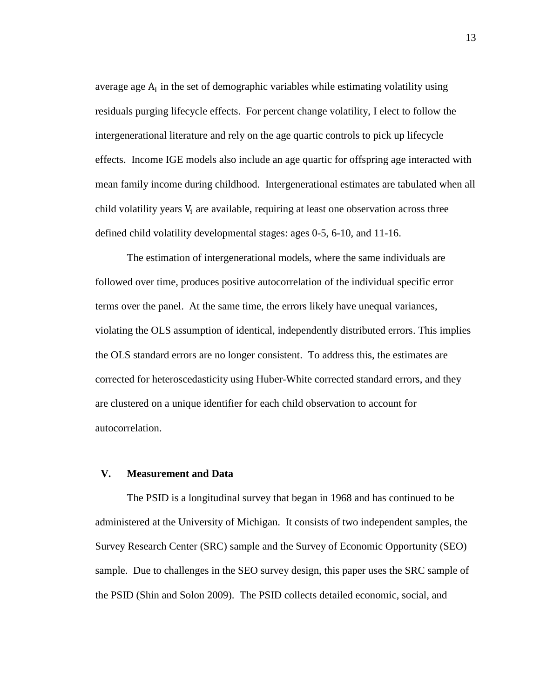average age  $A_i$  in the set of demographic variables while estimating volatility using residuals purging lifecycle effects. For percent change volatility, I elect to follow the intergenerational literature and rely on the age quartic controls to pick up lifecycle effects. Income IGE models also include an age quartic for offspring age interacted with mean family income during childhood. Intergenerational estimates are tabulated when all child volatility years  $V_i$  are available, requiring at least one observation across three defined child volatility developmental stages: ages 0-5, 6-10, and 11-16.

The estimation of intergenerational models, where the same individuals are followed over time, produces positive autocorrelation of the individual specific error terms over the panel. At the same time, the errors likely have unequal variances, violating the OLS assumption of identical, independently distributed errors. This implies the OLS standard errors are no longer consistent. To address this, the estimates are corrected for heteroscedasticity using Huber-White corrected standard errors, and they are clustered on a unique identifier for each child observation to account for autocorrelation.

#### **V. Measurement and Data**

The PSID is a longitudinal survey that began in 1968 and has continued to be administered at the University of Michigan. It consists of two independent samples, the Survey Research Center (SRC) sample and the Survey of Economic Opportunity (SEO) sample. Due to challenges in the SEO survey design, this paper uses the SRC sample of the PSID (Shin and Solon 2009). The PSID collects detailed economic, social, and

13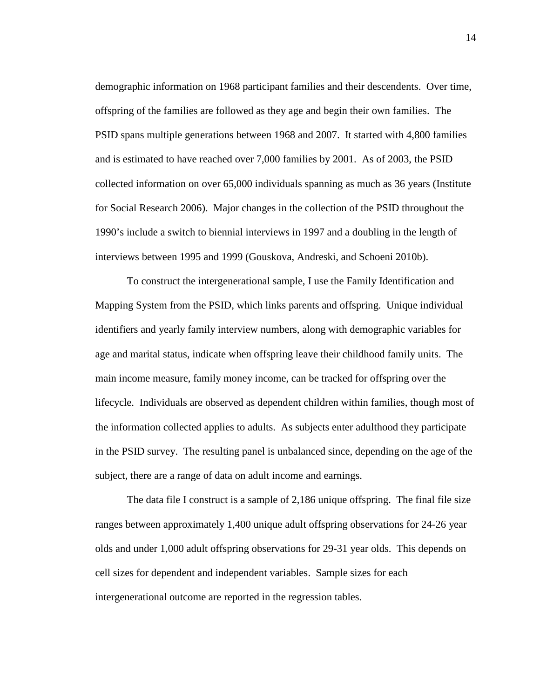demographic information on 1968 participant families and their descendents. Over time, offspring of the families are followed as they age and begin their own families. The PSID spans multiple generations between 1968 and 2007. It started with 4,800 families and is estimated to have reached over 7,000 families by 2001. As of 2003, the PSID collected information on over 65,000 individuals spanning as much as 36 years (Institute for Social Research 2006). Major changes in the collection of the PSID throughout the 1990's include a switch to biennial interviews in 1997 and a doubling in the length of interviews between 1995 and 1999 (Gouskova, Andreski, and Schoeni 2010b).

 To construct the intergenerational sample, I use the Family Identification and Mapping System from the PSID, which links parents and offspring. Unique individual identifiers and yearly family interview numbers, along with demographic variables for age and marital status, indicate when offspring leave their childhood family units. The main income measure, family money income, can be tracked for offspring over the lifecycle. Individuals are observed as dependent children within families, though most of the information collected applies to adults. As subjects enter adulthood they participate in the PSID survey. The resulting panel is unbalanced since, depending on the age of the subject, there are a range of data on adult income and earnings.

 The data file I construct is a sample of 2,186 unique offspring. The final file size ranges between approximately 1,400 unique adult offspring observations for 24-26 year olds and under 1,000 adult offspring observations for 29-31 year olds. This depends on cell sizes for dependent and independent variables. Sample sizes for each intergenerational outcome are reported in the regression tables.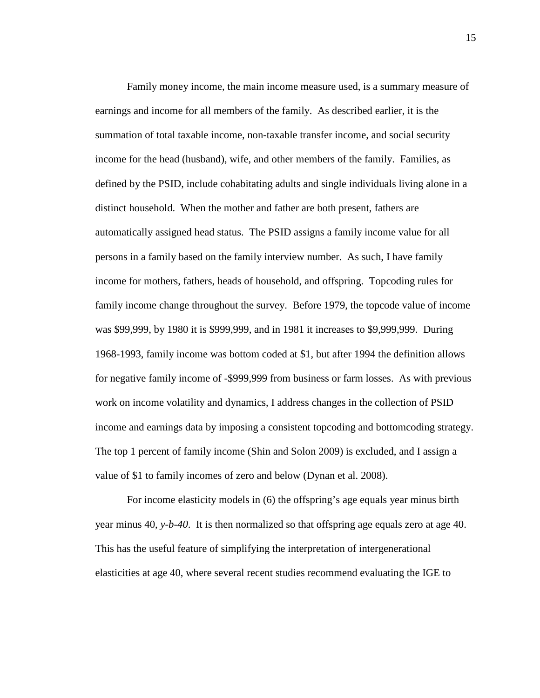Family money income, the main income measure used, is a summary measure of earnings and income for all members of the family. As described earlier, it is the summation of total taxable income, non-taxable transfer income, and social security income for the head (husband), wife, and other members of the family. Families, as defined by the PSID, include cohabitating adults and single individuals living alone in a distinct household. When the mother and father are both present, fathers are automatically assigned head status. The PSID assigns a family income value for all persons in a family based on the family interview number. As such, I have family income for mothers, fathers, heads of household, and offspring. Topcoding rules for family income change throughout the survey. Before 1979, the topcode value of income was \$99,999, by 1980 it is \$999,999, and in 1981 it increases to \$9,999,999. During 1968-1993, family income was bottom coded at \$1, but after 1994 the definition allows for negative family income of -\$999,999 from business or farm losses. As with previous work on income volatility and dynamics, I address changes in the collection of PSID income and earnings data by imposing a consistent topcoding and bottomcoding strategy. The top 1 percent of family income (Shin and Solon 2009) is excluded, and I assign a value of \$1 to family incomes of zero and below (Dynan et al. 2008).

For income elasticity models in (6) the offspring's age equals year minus birth year minus 40, *y-b-40*. It is then normalized so that offspring age equals zero at age 40. This has the useful feature of simplifying the interpretation of intergenerational elasticities at age 40, where several recent studies recommend evaluating the IGE to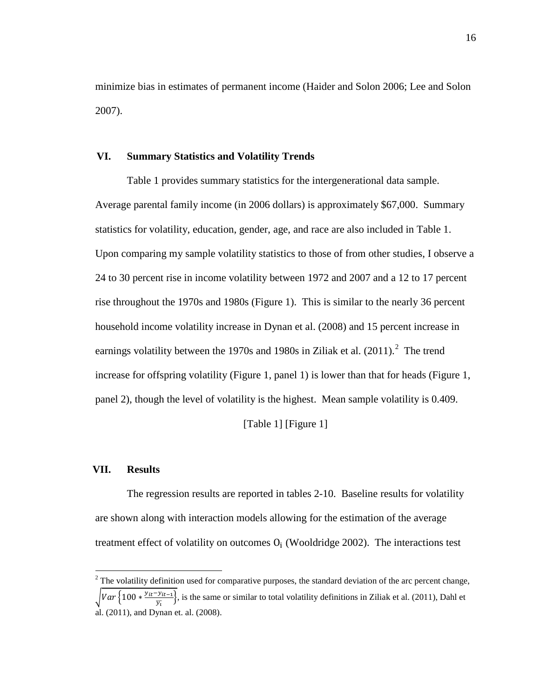minimize bias in estimates of permanent income (Haider and Solon 2006; Lee and Solon 2007).

#### **VI. Summary Statistics and Volatility Trends**

Table 1 provides summary statistics for the intergenerational data sample. Average parental family income (in 2006 dollars) is approximately \$67,000. Summary statistics for volatility, education, gender, age, and race are also included in Table 1. Upon comparing my sample volatility statistics to those of from other studies, I observe a 24 to 30 percent rise in income volatility between 1972 and 2007 and a 12 to 17 percent rise throughout the 1970s and 1980s (Figure 1). This is similar to the nearly 36 percent household income volatility increase in Dynan et al. (2008) and 15 percent increase in earnings volatility between the 1970s and 1980s in Ziliak et al.  $(2011)$  $(2011)$  $(2011)$ .<sup>2</sup> The trend increase for offspring volatility (Figure 1, panel 1) is lower than that for heads (Figure 1, panel 2), though the level of volatility is the highest. Mean sample volatility is 0.409.

[Table 1] [Figure 1]

#### **VII. Results**

 $\overline{a}$ 

The regression results are reported in tables 2-10. Baseline results for volatility are shown along with interaction models allowing for the estimation of the average treatment effect of volatility on outcomes  $O_i$  (Wooldridge 2002). The interactions test

<span id="page-17-0"></span> $2<sup>2</sup>$  The volatility definition used for comparative purposes, the standard deviation of the arc percent change,  $\sqrt{Var\left\{100 * \frac{y_{it} - y_{it-1}}{\overline{y_i}}\right\}}$ , is the same or similar to total volatility definitions in Ziliak et al. (2011), Dahl et al. (2011), and Dynan et. al. (2008).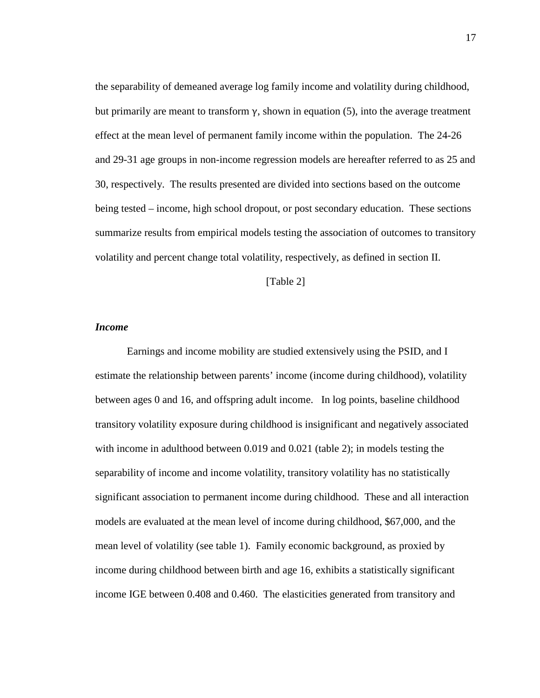the separability of demeaned average log family income and volatility during childhood, but primarily are meant to transform  $\gamma$ , shown in equation (5), into the average treatment effect at the mean level of permanent family income within the population. The 24-26 and 29-31 age groups in non-income regression models are hereafter referred to as 25 and 30, respectively. The results presented are divided into sections based on the outcome being tested – income, high school dropout, or post secondary education. These sections summarize results from empirical models testing the association of outcomes to transitory volatility and percent change total volatility, respectively, as defined in section II.

#### [Table 2]

#### *Income*

 Earnings and income mobility are studied extensively using the PSID, and I estimate the relationship between parents' income (income during childhood), volatility between ages 0 and 16, and offspring adult income. In log points, baseline childhood transitory volatility exposure during childhood is insignificant and negatively associated with income in adulthood between 0.019 and 0.021 (table 2); in models testing the separability of income and income volatility, transitory volatility has no statistically significant association to permanent income during childhood. These and all interaction models are evaluated at the mean level of income during childhood, \$67,000, and the mean level of volatility (see table 1). Family economic background, as proxied by income during childhood between birth and age 16, exhibits a statistically significant income IGE between 0.408 and 0.460. The elasticities generated from transitory and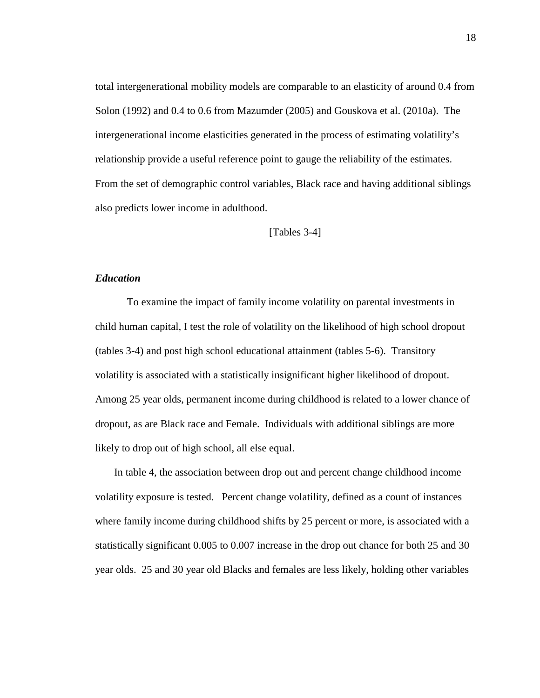total intergenerational mobility models are comparable to an elasticity of around 0.4 from Solon (1992) and 0.4 to 0.6 from Mazumder (2005) and Gouskova et al. (2010a). The intergenerational income elasticities generated in the process of estimating volatility's relationship provide a useful reference point to gauge the reliability of the estimates. From the set of demographic control variables, Black race and having additional siblings also predicts lower income in adulthood.

[Tables 3-4]

#### *Education*

To examine the impact of family income volatility on parental investments in child human capital, I test the role of volatility on the likelihood of high school dropout (tables 3-4) and post high school educational attainment (tables 5-6). Transitory volatility is associated with a statistically insignificant higher likelihood of dropout. Among 25 year olds, permanent income during childhood is related to a lower chance of dropout, as are Black race and Female. Individuals with additional siblings are more likely to drop out of high school, all else equal.

In table 4, the association between drop out and percent change childhood income volatility exposure is tested. Percent change volatility, defined as a count of instances where family income during childhood shifts by 25 percent or more, is associated with a statistically significant 0.005 to 0.007 increase in the drop out chance for both 25 and 30 year olds. 25 and 30 year old Blacks and females are less likely, holding other variables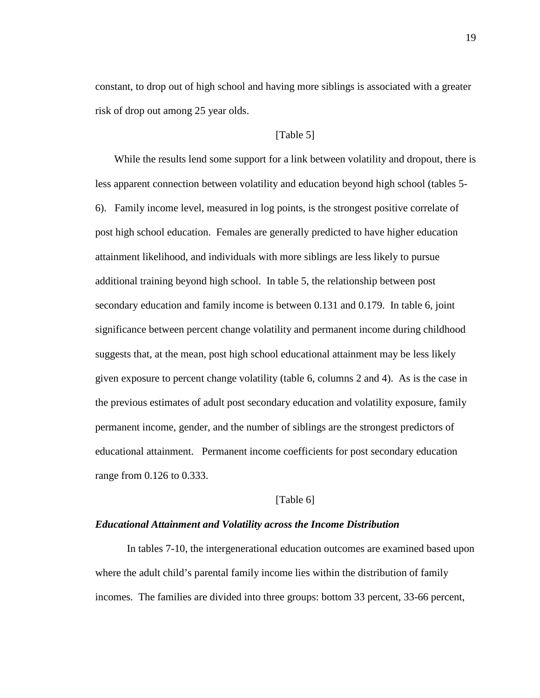constant, to drop out of high school and having more siblings is associated with a greater risk of drop out among 25 year olds.

#### [Table 5]

While the results lend some support for a link between volatility and dropout, there is less apparent connection between volatility and education beyond high school (tables 5- 6). Family income level, measured in log points, is the strongest positive correlate of post high school education. Females are generally predicted to have higher education attainment likelihood, and individuals with more siblings are less likely to pursue additional training beyond high school. In table 5, the relationship between post secondary education and family income is between 0.131 and 0.179. In table 6, joint significance between percent change volatility and permanent income during childhood suggests that, at the mean, post high school educational attainment may be less likely given exposure to percent change volatility (table 6, columns 2 and 4). As is the case in the previous estimates of adult post secondary education and volatility exposure, family permanent income, gender, and the number of siblings are the strongest predictors of educational attainment. Permanent income coefficients for post secondary education range from 0.126 to 0.333.

#### [Table 6]

#### *Educational Attainment and Volatility across the Income Distribution*

In tables 7-10, the intergenerational education outcomes are examined based upon where the adult child's parental family income lies within the distribution of family incomes. The families are divided into three groups: bottom 33 percent, 33-66 percent,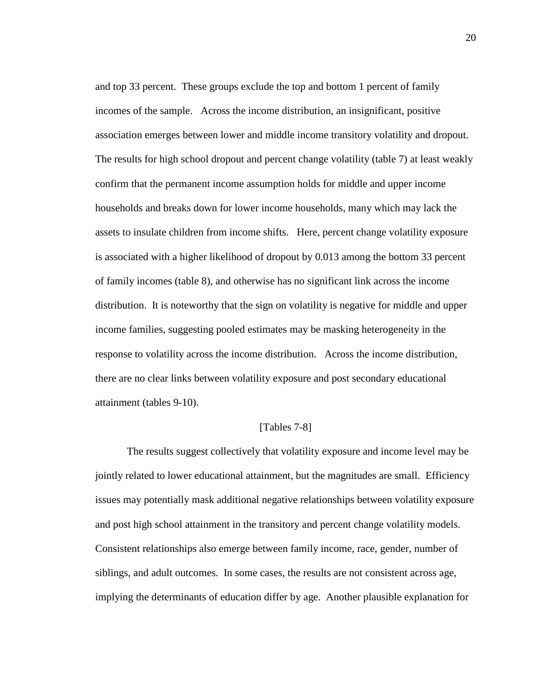and top 33 percent. These groups exclude the top and bottom 1 percent of family incomes of the sample. Across the income distribution, an insignificant, positive association emerges between lower and middle income transitory volatility and dropout. The results for high school dropout and percent change volatility (table 7) at least weakly confirm that the permanent income assumption holds for middle and upper income households and breaks down for lower income households, many which may lack the assets to insulate children from income shifts. Here, percent change volatility exposure is associated with a higher likelihood of dropout by 0.013 among the bottom 33 percent of family incomes (table 8), and otherwise has no significant link across the income distribution. It is noteworthy that the sign on volatility is negative for middle and upper income families, suggesting pooled estimates may be masking heterogeneity in the response to volatility across the income distribution. Across the income distribution, there are no clear links between volatility exposure and post secondary educational attainment (tables 9-10).

#### [Tables 7-8]

The results suggest collectively that volatility exposure and income level may be jointly related to lower educational attainment, but the magnitudes are small. Efficiency issues may potentially mask additional negative relationships between volatility exposure and post high school attainment in the transitory and percent change volatility models. Consistent relationships also emerge between family income, race, gender, number of siblings, and adult outcomes. In some cases, the results are not consistent across age, implying the determinants of education differ by age. Another plausible explanation for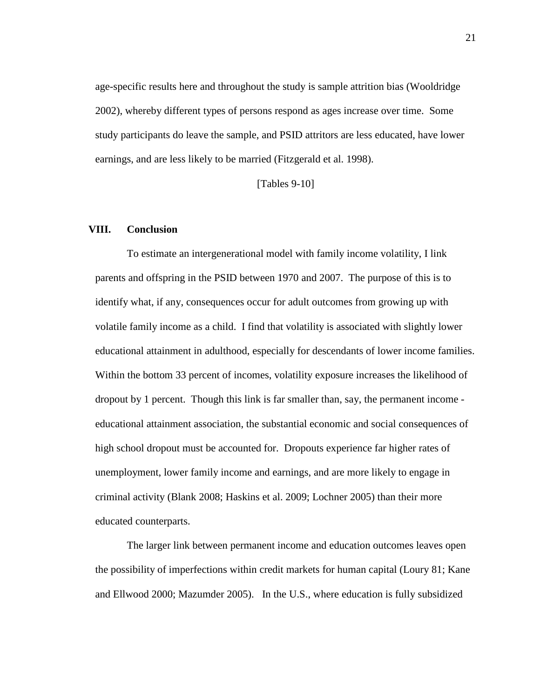age-specific results here and throughout the study is sample attrition bias (Wooldridge 2002), whereby different types of persons respond as ages increase over time. Some study participants do leave the sample, and PSID attritors are less educated, have lower earnings, and are less likely to be married (Fitzgerald et al. 1998).

[Tables 9-10]

#### **VIII. Conclusion**

To estimate an intergenerational model with family income volatility, I link parents and offspring in the PSID between 1970 and 2007. The purpose of this is to identify what, if any, consequences occur for adult outcomes from growing up with volatile family income as a child. I find that volatility is associated with slightly lower educational attainment in adulthood, especially for descendants of lower income families. Within the bottom 33 percent of incomes, volatility exposure increases the likelihood of dropout by 1 percent. Though this link is far smaller than, say, the permanent income educational attainment association, the substantial economic and social consequences of high school dropout must be accounted for. Dropouts experience far higher rates of unemployment, lower family income and earnings, and are more likely to engage in criminal activity (Blank 2008; Haskins et al. 2009; Lochner 2005) than their more educated counterparts.

The larger link between permanent income and education outcomes leaves open the possibility of imperfections within credit markets for human capital (Loury 81; Kane and Ellwood 2000; Mazumder 2005). In the U.S., where education is fully subsidized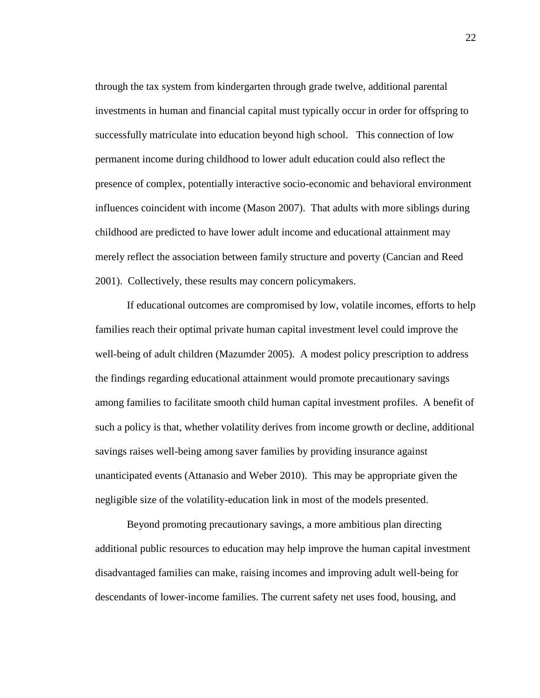through the tax system from kindergarten through grade twelve, additional parental investments in human and financial capital must typically occur in order for offspring to successfully matriculate into education beyond high school. This connection of low permanent income during childhood to lower adult education could also reflect the presence of complex, potentially interactive socio-economic and behavioral environment influences coincident with income (Mason 2007). That adults with more siblings during childhood are predicted to have lower adult income and educational attainment may merely reflect the association between family structure and poverty (Cancian and Reed 2001). Collectively, these results may concern policymakers.

 If educational outcomes are compromised by low, volatile incomes, efforts to help families reach their optimal private human capital investment level could improve the well-being of adult children (Mazumder 2005). A modest policy prescription to address the findings regarding educational attainment would promote precautionary savings among families to facilitate smooth child human capital investment profiles. A benefit of such a policy is that, whether volatility derives from income growth or decline, additional savings raises well-being among saver families by providing insurance against unanticipated events (Attanasio and Weber 2010). This may be appropriate given the negligible size of the volatility-education link in most of the models presented.

 Beyond promoting precautionary savings, a more ambitious plan directing additional public resources to education may help improve the human capital investment disadvantaged families can make, raising incomes and improving adult well-being for descendants of lower-income families. The current safety net uses food, housing, and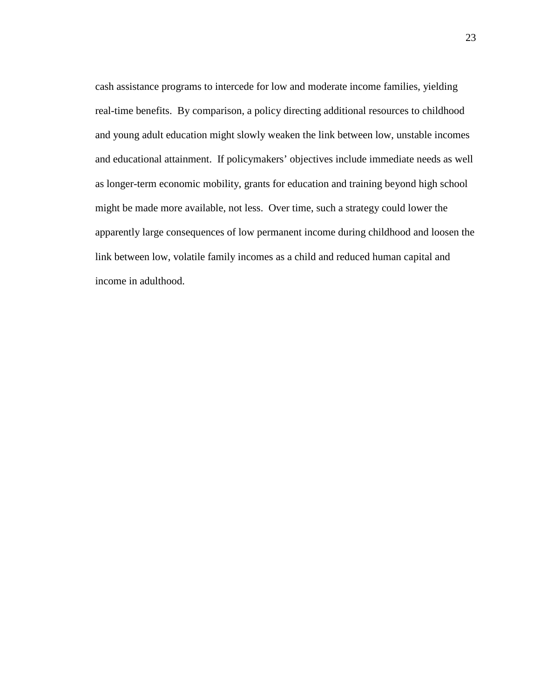cash assistance programs to intercede for low and moderate income families, yielding real-time benefits. By comparison, a policy directing additional resources to childhood and young adult education might slowly weaken the link between low, unstable incomes and educational attainment. If policymakers' objectives include immediate needs as well as longer-term economic mobility, grants for education and training beyond high school might be made more available, not less. Over time, such a strategy could lower the apparently large consequences of low permanent income during childhood and loosen the link between low, volatile family incomes as a child and reduced human capital and income in adulthood.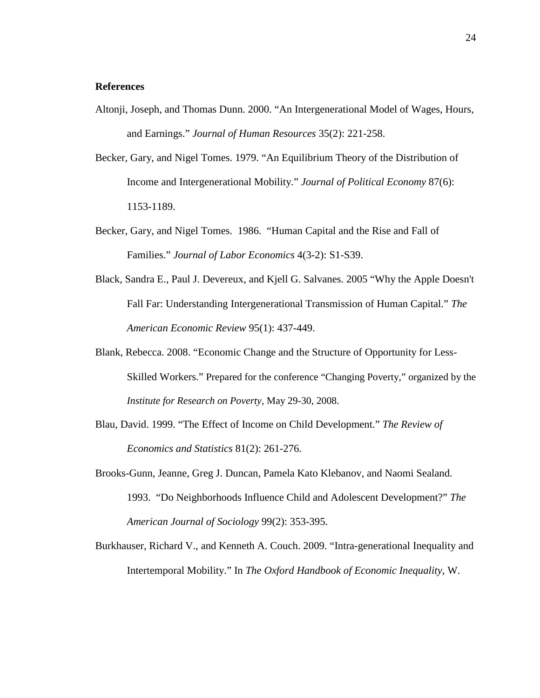#### **References**

- Altonji, Joseph, and Thomas Dunn. 2000. "An Intergenerational Model of Wages, Hours, and Earnings." *Journal of Human Resources* 35(2): 221-258.
- Becker, Gary, and Nigel Tomes. 1979. "An Equilibrium Theory of the Distribution of Income and Intergenerational Mobility." *Journal of Political Economy* 87(6): 1153-1189.
- Becker, Gary, and Nigel Tomes. 1986. "Human Capital and the Rise and Fall of Families." *Journal of Labor Economics* 4(3-2): S1-S39.
- Black, Sandra E., Paul J. Devereux, and Kjell G. Salvanes. 2005 "Why the Apple Doesn't Fall Far: Understanding Intergenerational Transmission of Human Capital." *The American Economic Review* 95(1): 437-449.
- Blank, Rebecca. 2008. "Economic Change and the Structure of Opportunity for Less-Skilled Workers." Prepared for the conference "Changing Poverty," organized by the *Institute for Research on Poverty*, May 29-30, 2008.
- Blau, David. 1999. "The Effect of Income on Child Development." *The Review of Economics and Statistics* 81(2): 261-276.
- Brooks-Gunn, Jeanne, Greg J. Duncan, Pamela Kato Klebanov, and Naomi Sealand. 1993. "Do Neighborhoods Influence Child and Adolescent Development?" *The American Journal of Sociology* 99(2): 353-395.
- Burkhauser, Richard V., and Kenneth A. Couch. 2009. "Intra-generational Inequality and Intertemporal Mobility." In *The Oxford Handbook of Economic Inequality*, W.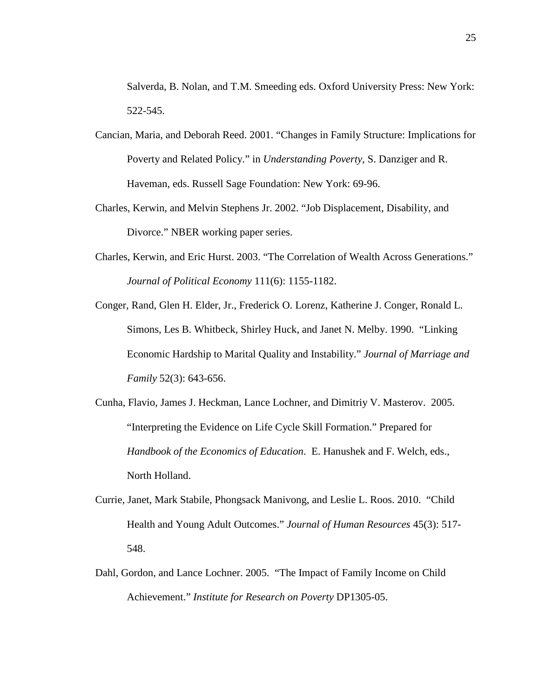Salverda, B. Nolan, and T.M. Smeeding eds. Oxford University Press: New York: 522-545.

- Cancian, Maria, and Deborah Reed. 2001. "Changes in Family Structure: Implications for Poverty and Related Policy." in *Understanding Poverty*, S. Danziger and R. Haveman, eds. Russell Sage Foundation: New York: 69-96.
- Charles, Kerwin, and Melvin Stephens Jr. 2002. "Job Displacement, Disability, and Divorce." NBER working paper series.
- Charles, Kerwin, and Eric Hurst. 2003. "The Correlation of Wealth Across Generations." *Journal of Political Economy* 111(6): 1155-1182.
- Conger, Rand, Glen H. Elder, Jr., Frederick O. Lorenz, Katherine J. Conger, Ronald L. Simons, Les B. Whitbeck, Shirley Huck, and Janet N. Melby. 1990. "Linking Economic Hardship to Marital Quality and Instability." *Journal of Marriage and Family* 52(3): 643-656.
- Cunha, Flavio, James J. Heckman, Lance Lochner, and Dimitriy V. Masterov. 2005. "Interpreting the Evidence on Life Cycle Skill Formation." Prepared for *Handbook of the Economics of Education*. E. Hanushek and F. Welch, eds., North Holland.
- Currie, Janet, Mark Stabile, Phongsack Manivong, and Leslie L. Roos. 2010. "Child Health and Young Adult Outcomes." *Journal of Human Resources* 45(3): 517- 548.
- Dahl, Gordon, and Lance Lochner. 2005. "The Impact of Family Income on Child Achievement." *Institute for Research on Poverty* DP1305-05.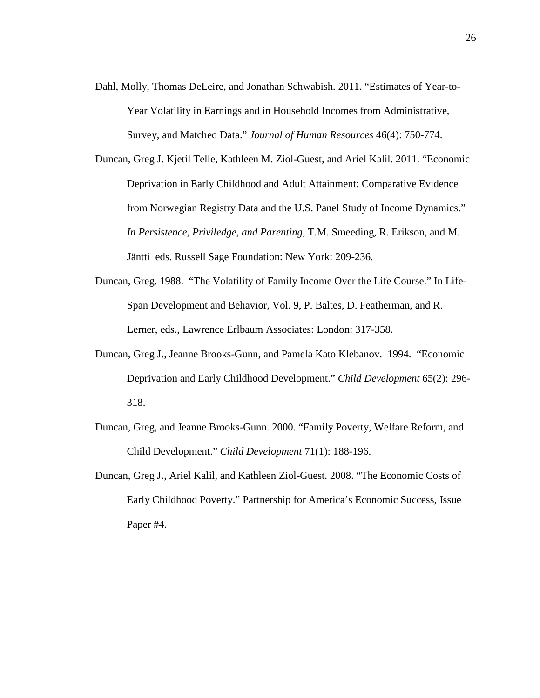- Dahl, Molly, Thomas DeLeire, and Jonathan Schwabish. 2011. "Estimates of Year-to-Year Volatility in Earnings and in Household Incomes from Administrative, Survey, and Matched Data." *Journal of Human Resources* 46(4): 750-774.
- Duncan, Greg J. Kjetil Telle, Kathleen M. Ziol-Guest, and Ariel Kalil. 2011. "Economic Deprivation in Early Childhood and Adult Attainment: Comparative Evidence from Norwegian Registry Data and the U.S. Panel Study of Income Dynamics." *In Persistence, Priviledge, and Parenting*, T.M. Smeeding, R. Erikson, and M. Jäntti eds. Russell Sage Foundation: New York: 209-236.
- Duncan, Greg. 1988. "The Volatility of Family Income Over the Life Course." In Life-Span Development and Behavior, Vol. 9, P. Baltes, D. Featherman, and R. Lerner, eds., Lawrence Erlbaum Associates: London: 317-358.
- Duncan, Greg J., Jeanne Brooks-Gunn, and Pamela Kato Klebanov. 1994. "Economic Deprivation and Early Childhood Development." *Child Development* 65(2): 296- 318.
- Duncan, Greg, and Jeanne Brooks-Gunn. 2000. "Family Poverty, Welfare Reform, and Child Development." *Child Development* 71(1): 188-196.
- Duncan, Greg J., Ariel Kalil, and Kathleen Ziol-Guest. 2008. "The Economic Costs of Early Childhood Poverty." Partnership for America's Economic Success, Issue Paper #4.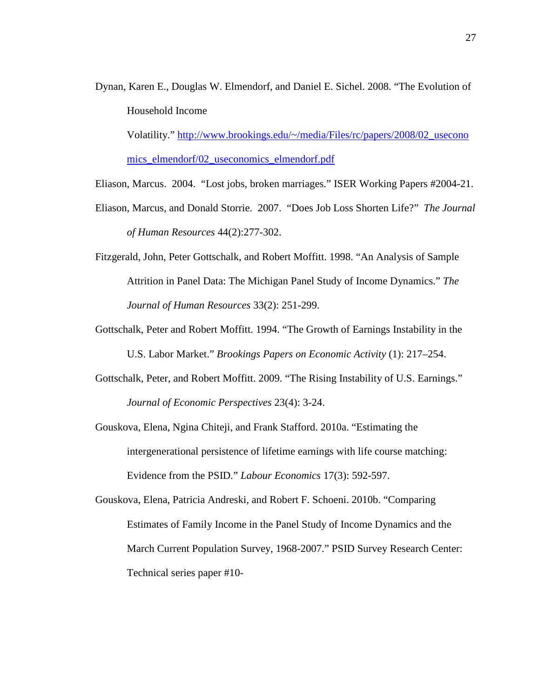Dynan, Karen E., Douglas W. Elmendorf, and Daniel E. Sichel. 2008. "The Evolution of Household Income

Volatility." [http://www.brookings.edu/~/media/Files/rc/papers/2008/02\\_usecono](http://www.brookings.edu/~/media/Files/rc/papers/2008/02_useconomics_elmendorf/02_useconomics_elmendorf.pdf) [mics\\_elmendorf/02\\_useconomics\\_elmendorf.pdf](http://www.brookings.edu/~/media/Files/rc/papers/2008/02_useconomics_elmendorf/02_useconomics_elmendorf.pdf) 

Eliason, Marcus. 2004. "Lost jobs, broken marriages." ISER Working Papers #2004-21.

- Eliason, Marcus, and Donald Storrie. 2007. "Does Job Loss Shorten Life?" *The Journal of Human Resources* 44(2):277-302.
- Fitzgerald, John, Peter Gottschalk, and Robert Moffitt. 1998. "An Analysis of Sample Attrition in Panel Data: The Michigan Panel Study of Income Dynamics." *The Journal of Human Resources* 33(2): 251-299.
- Gottschalk, Peter and Robert Moffitt. 1994. "The Growth of Earnings Instability in the U.S. Labor Market." *Brookings Papers on Economic Activity* (1): 217–254.
- Gottschalk, Peter, and Robert Moffitt. 2009. "The Rising Instability of U.S. Earnings." *Journal of Economic Perspectives* 23(4): 3-24.
- Gouskova, Elena, Ngina Chiteji, and Frank Stafford. 2010a. "Estimating the intergenerational persistence of lifetime earnings with life course matching: Evidence from the PSID." *Labour Economics* 17(3): 592-597.
- Gouskova, Elena, Patricia Andreski, and Robert F. Schoeni. 2010b. "Comparing Estimates of Family Income in the Panel Study of Income Dynamics and the March Current Population Survey, 1968-2007." PSID Survey Research Center: Technical series paper #10-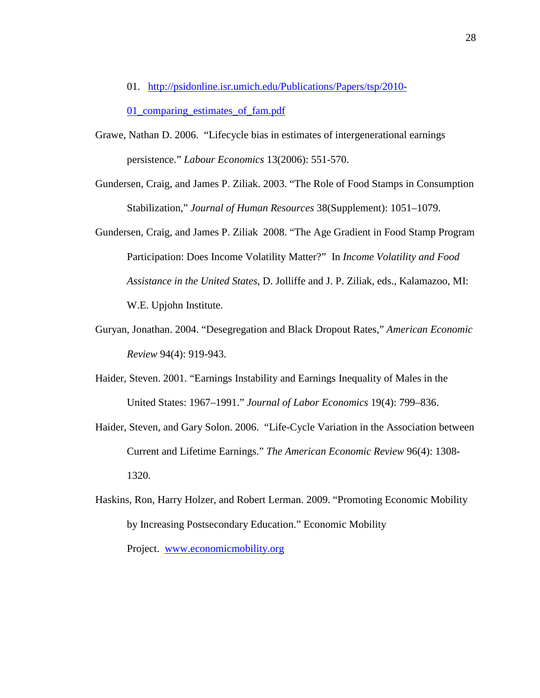01. [http://psidonline.isr.umich.edu/Publications/Papers/tsp/2010-](http://psidonline.isr.umich.edu/Publications/Papers/tsp/2010-01_comparing_estimates_of_fam.pdf)

[01\\_comparing\\_estimates\\_of\\_fam.pdf](http://psidonline.isr.umich.edu/Publications/Papers/tsp/2010-01_comparing_estimates_of_fam.pdf) 

- Grawe, Nathan D. 2006. "Lifecycle bias in estimates of intergenerational earnings persistence." *Labour Economics* 13(2006): 551-570.
- Gundersen, Craig, and James P. Ziliak. 2003. "The Role of Food Stamps in Consumption Stabilization," *Journal of Human Resources* 38(Supplement): 1051–1079.
- Gundersen, Craig, and James P. Ziliak 2008. "The Age Gradient in Food Stamp Program Participation: Does Income Volatility Matter?" In *Income Volatility and Food Assistance in the United States*, D. Jolliffe and J. P. Ziliak, eds., Kalamazoo, MI: W.E. Upjohn Institute.
- Guryan, Jonathan. 2004. "Desegregation and Black Dropout Rates," *American Economic Review* 94(4): 919-943.
- Haider, Steven. 2001. "Earnings Instability and Earnings Inequality of Males in the United States: 1967–1991." *Journal of Labor Economics* 19(4): 799–836.
- Haider, Steven, and Gary Solon. 2006. "Life-Cycle Variation in the Association between Current and Lifetime Earnings." *The American Economic Review* 96(4): 1308- 1320.
- Haskins, Ron, Harry Holzer, and Robert Lerman. 2009. "Promoting Economic Mobility by Increasing Postsecondary Education." Economic Mobility Project. [www.economicmobility.org](http://www.economicmobility.org/)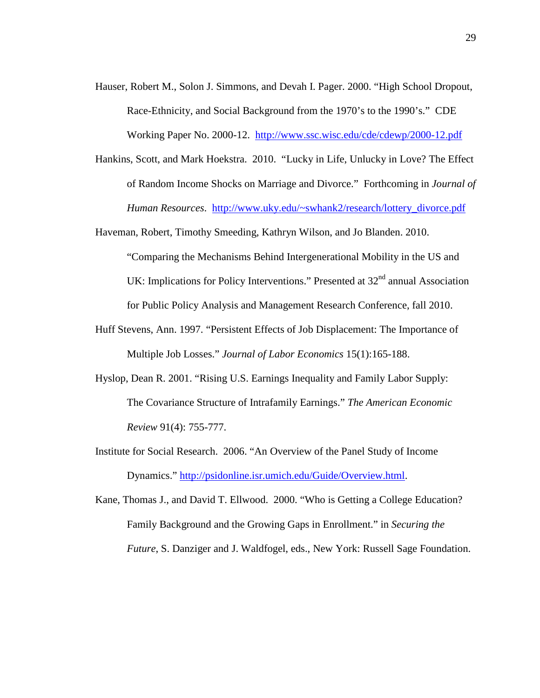Hauser, Robert M., Solon J. Simmons, and Devah I. Pager. 2000. "High School Dropout, Race-Ethnicity, and Social Background from the 1970's to the 1990's." CDE Working Paper No. 2000-12. <http://www.ssc.wisc.edu/cde/cdewp/2000-12.pdf>

Hankins, Scott, and Mark Hoekstra. 2010. "Lucky in Life, Unlucky in Love? The Effect of Random Income Shocks on Marriage and Divorce." Forthcoming in *Journal of Human Resources*. [http://www.uky.edu/~swhank2/research/lottery\\_divorce.pdf](http://www.uky.edu/~swhank2/research/lottery_divorce.pdf)

Haveman, Robert, Timothy Smeeding, Kathryn Wilson, and Jo Blanden. 2010.

"Comparing the Mechanisms Behind Intergenerational Mobility in the US and UK: Implications for Policy Interventions." Presented at  $32<sup>nd</sup>$  annual Association for Public Policy Analysis and Management Research Conference, fall 2010.

- Huff Stevens, Ann. 1997. "Persistent Effects of Job Displacement: The Importance of Multiple Job Losses." *Journal of Labor Economics* 15(1):165-188.
- Hyslop, Dean R. 2001. "Rising U.S. Earnings Inequality and Family Labor Supply: The Covariance Structure of Intrafamily Earnings." *The American Economic Review* 91(4): 755-777.
- Institute for Social Research. 2006. "An Overview of the Panel Study of Income Dynamics." [http://psidonline.isr.umich.edu/Guide/Overview.html.](http://psidonline.isr.umich.edu/Guide/Overview.html)
- Kane, Thomas J., and David T. Ellwood. 2000. "Who is Getting a College Education? Family Background and the Growing Gaps in Enrollment." in *Securing the Future*, S. Danziger and J. Waldfogel, eds., New York: Russell Sage Foundation.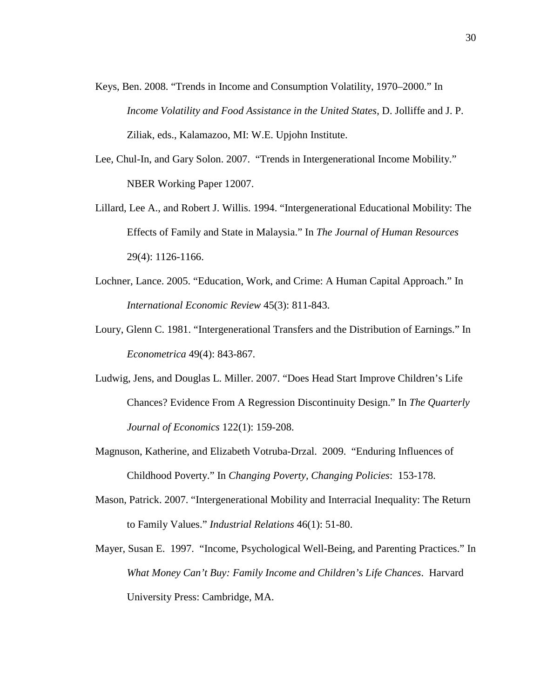- Keys, Ben. 2008. "Trends in Income and Consumption Volatility, 1970–2000." In *Income Volatility and Food Assistance in the United States*, D. Jolliffe and J. P. Ziliak, eds., Kalamazoo, MI: W.E. Upjohn Institute.
- Lee, Chul-In, and Gary Solon. 2007. "Trends in Intergenerational Income Mobility." NBER Working Paper 12007.
- Lillard, Lee A., and Robert J. Willis. 1994. "Intergenerational Educational Mobility: The Effects of Family and State in Malaysia." In *The Journal of Human Resources* 29(4): 1126-1166.
- Lochner, Lance. 2005. "Education, Work, and Crime: A Human Capital Approach." In *International Economic Review* 45(3): 811-843.
- Loury, Glenn C. 1981. "Intergenerational Transfers and the Distribution of Earnings." In *Econometrica* 49(4): 843-867.
- Ludwig, Jens, and Douglas L. Miller. 2007. "Does Head Start Improve Children's Life Chances? Evidence From A Regression Discontinuity Design." In *The Quarterly Journal of Economics* 122(1): 159-208.
- Magnuson, Katherine, and Elizabeth Votruba-Drzal. 2009. "Enduring Influences of Childhood Poverty." In *Changing Poverty, Changing Policies*: 153-178.
- Mason, Patrick. 2007. "Intergenerational Mobility and Interracial Inequality: The Return to Family Values." *Industrial Relations* 46(1): 51-80.
- Mayer, Susan E. 1997. "Income, Psychological Well-Being, and Parenting Practices." In *What Money Can't Buy: Family Income and Children's Life Chances*. Harvard University Press: Cambridge, MA.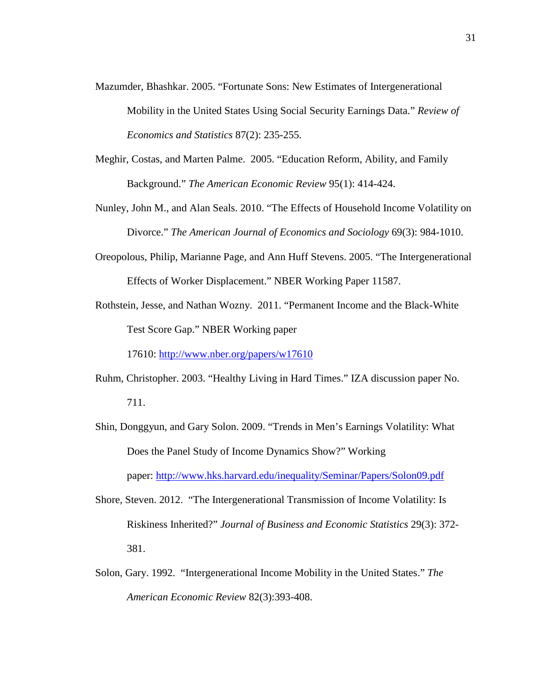- Mazumder, Bhashkar. 2005. "Fortunate Sons: New Estimates of Intergenerational Mobility in the United States Using Social Security Earnings Data." *Review of Economics and Statistics* 87(2): 235-255.
- Meghir, Costas, and Marten Palme. 2005. "Education Reform, Ability, and Family Background." *The American Economic Review* 95(1): 414-424.
- Nunley, John M., and Alan Seals. 2010. "The Effects of Household Income Volatility on Divorce." *The American Journal of Economics and Sociology* 69(3): 984-1010.
- Oreopolous, Philip, Marianne Page, and Ann Huff Stevens. 2005. "The Intergenerational Effects of Worker Displacement." NBER Working Paper 11587.
- Rothstein, Jesse, and Nathan Wozny. 2011. "Permanent Income and the Black-White Test Score Gap." NBER Working paper

17610:<http://www.nber.org/papers/w17610>

- Ruhm, Christopher. 2003. "Healthy Living in Hard Times." IZA discussion paper No. 711.
- Shin, Donggyun, and Gary Solon. 2009. "Trends in Men's Earnings Volatility: What Does the Panel Study of Income Dynamics Show?" Working paper:<http://www.hks.harvard.edu/inequality/Seminar/Papers/Solon09.pdf>
- Shore, Steven. 2012. "The Intergenerational Transmission of Income Volatility: Is Riskiness Inherited?" *Journal of Business and Economic Statistics* 29(3): 372- 381.
- Solon, Gary. 1992. "Intergenerational Income Mobility in the United States." *The American Economic Review* 82(3):393-408.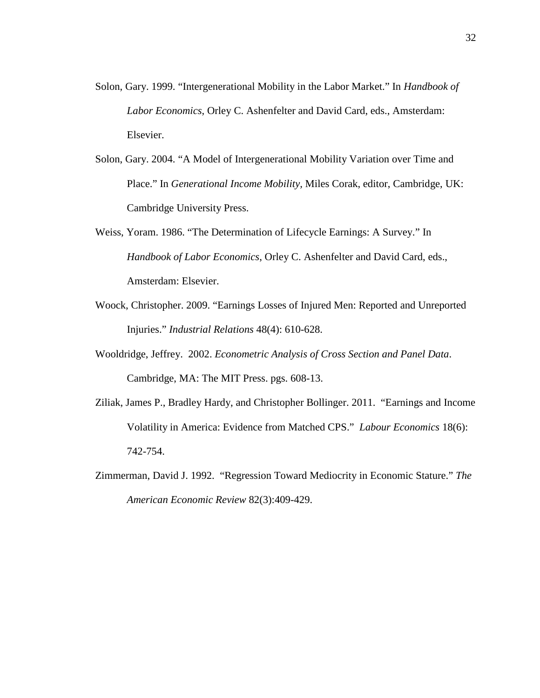- Solon, Gary. 1999. "Intergenerational Mobility in the Labor Market." In *Handbook of Labor Economics*, Orley C. Ashenfelter and David Card, eds., Amsterdam: Elsevier.
- Solon, Gary. 2004. "A Model of Intergenerational Mobility Variation over Time and Place." In *Generational Income Mobility,* Miles Corak, editor, Cambridge, UK: Cambridge University Press.
- Weiss, Yoram. 1986. "The Determination of Lifecycle Earnings: A Survey." In *Handbook of Labor Economics*, Orley C. Ashenfelter and David Card, eds., Amsterdam: Elsevier.
- Woock, Christopher. 2009. "Earnings Losses of Injured Men: Reported and Unreported Injuries." *Industrial Relations* 48(4): 610-628.
- Wooldridge, Jeffrey. 2002. *Econometric Analysis of Cross Section and Panel Data*. Cambridge, MA: The MIT Press. pgs. 608-13.
- Ziliak, James P., Bradley Hardy, and Christopher Bollinger. 2011. "Earnings and Income Volatility in America: Evidence from Matched CPS." *Labour Economics* 18(6): 742-754.
- Zimmerman, David J. 1992. "Regression Toward Mediocrity in Economic Stature." *The American Economic Review* 82(3):409-429.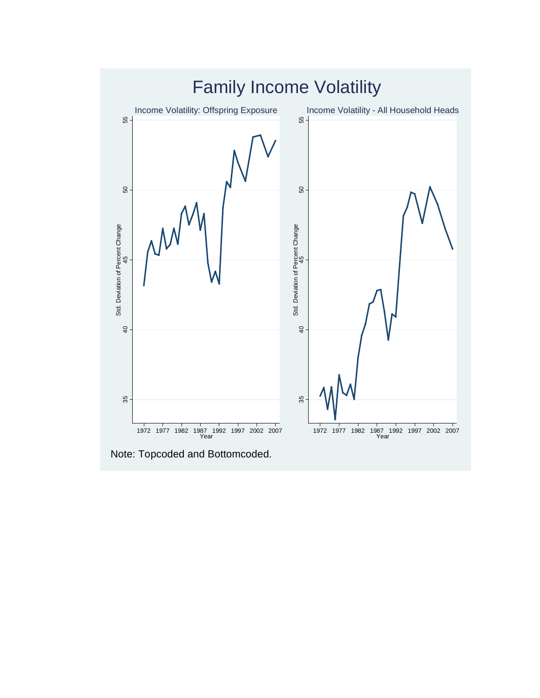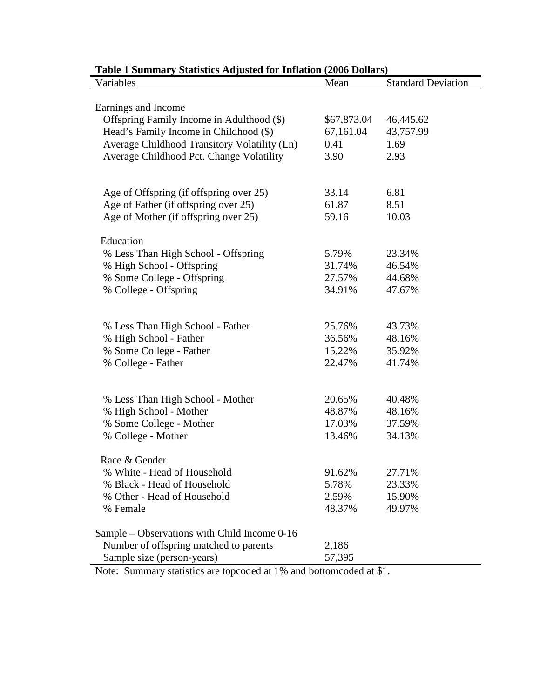| Variables                                    | Mean        | <b>Standard Deviation</b> |
|----------------------------------------------|-------------|---------------------------|
|                                              |             |                           |
| Earnings and Income                          |             |                           |
| Offspring Family Income in Adulthood (\$)    | \$67,873.04 | 46,445.62                 |
| Head's Family Income in Childhood (\$)       | 67,161.04   | 43,757.99                 |
| Average Childhood Transitory Volatility (Ln) | 0.41        | 1.69                      |
| Average Childhood Pct. Change Volatility     | 3.90        | 2.93                      |
|                                              |             |                           |
| Age of Offspring (if offspring over 25)      | 33.14       | 6.81                      |
| Age of Father (if offspring over 25)         | 61.87       | 8.51                      |
| Age of Mother (if offspring over 25)         | 59.16       | 10.03                     |
|                                              |             |                           |
| Education                                    |             |                           |
| % Less Than High School - Offspring          | 5.79%       | 23.34%                    |
| % High School - Offspring                    | 31.74%      | 46.54%                    |
| % Some College - Offspring                   | 27.57%      | 44.68%                    |
| % College - Offspring                        | 34.91%      | 47.67%                    |
|                                              |             |                           |
| % Less Than High School - Father             | 25.76%      | 43.73%                    |
| % High School - Father                       | 36.56%      | 48.16%                    |
| % Some College - Father                      | 15.22%      | 35.92%                    |
| % College - Father                           | 22.47%      | 41.74%                    |
|                                              |             |                           |
|                                              |             |                           |
| % Less Than High School - Mother             | 20.65%      | 40.48%                    |
| % High School - Mother                       | 48.87%      | 48.16%                    |
| % Some College - Mother                      | 17.03%      | 37.59%                    |
| % College - Mother                           | 13.46%      | 34.13%                    |
|                                              |             |                           |
| Race & Gender                                |             |                           |
| % White - Head of Household                  | 91.62%      | 27.71%                    |
| % Black - Head of Household                  | 5.78%       | 23.33%                    |
| % Other - Head of Household                  | 2.59%       | 15.90%                    |
| % Female                                     | 48.37%      | 49.97%                    |
| Sample – Observations with Child Income 0-16 |             |                           |
| Number of offspring matched to parents       | 2,186       |                           |
| Sample size (person-years)                   | 57,395      |                           |
|                                              |             |                           |

### **Table 1 Summary Statistics Adjusted for Inflation (2006 Dollars)**

Note: Summary statistics are topcoded at 1% and bottomcoded at \$1.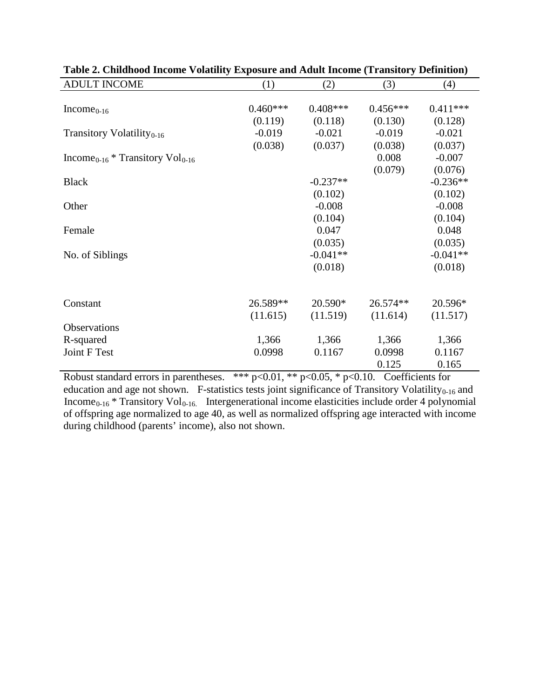| <b>ADULT INCOME</b>                              | (1)        | (2)        | (3)        | (4)        |
|--------------------------------------------------|------------|------------|------------|------------|
|                                                  |            |            |            |            |
| Income <sub>0-16</sub>                           | $0.460***$ | $0.408***$ | $0.456***$ | $0.411***$ |
|                                                  | (0.119)    | (0.118)    | (0.130)    | (0.128)    |
| Transitory Volatility <sub>0-16</sub>            | $-0.019$   | $-0.021$   | $-0.019$   | $-0.021$   |
|                                                  | (0.038)    | (0.037)    | (0.038)    | (0.037)    |
| Income <sub>0-16</sub> * Transitory $Vol_{0-16}$ |            |            | 0.008      | $-0.007$   |
|                                                  |            |            | (0.079)    | (0.076)    |
| <b>Black</b>                                     |            | $-0.237**$ |            | $-0.236**$ |
|                                                  |            | (0.102)    |            | (0.102)    |
| Other                                            |            | $-0.008$   |            | $-0.008$   |
|                                                  |            | (0.104)    |            | (0.104)    |
| Female                                           |            | 0.047      |            | 0.048      |
|                                                  |            | (0.035)    |            | (0.035)    |
| No. of Siblings                                  |            | $-0.041**$ |            | $-0.041**$ |
|                                                  |            | (0.018)    |            | (0.018)    |
|                                                  |            |            |            |            |
| Constant                                         | 26.589**   | 20.590*    | 26.574**   | 20.596*    |
|                                                  | (11.615)   | (11.519)   | (11.614)   | (11.517)   |
| Observations                                     |            |            |            |            |
| R-squared                                        | 1,366      | 1,366      | 1,366      | 1,366      |
| Joint F Test                                     | 0.0998     | 0.1167     | 0.0998     | 0.1167     |
|                                                  |            |            | 0.125      | 0.165      |
|                                                  |            |            |            |            |

|  |  | Table 2. Childhood Income Volatility Exposure and Adult Income (Transitory Definition) |  |
|--|--|----------------------------------------------------------------------------------------|--|
|  |  |                                                                                        |  |

Robust standard errors in parentheses. \*\*\*  $p<0.01$ , \*\*  $p<0.05$ , \*  $p<0.10$ . Coefficients for education and age not shown. F-statistics tests joint significance of Transitory Volatility<sub>0-16</sub> and Income<sub>0-16</sub> \* Transitory  $Vol_{0-16}$ . Intergenerational income elasticities include order 4 polynomial of offspring age normalized to age 40, as well as normalized offspring age interacted with income during childhood (parents' income), also not shown.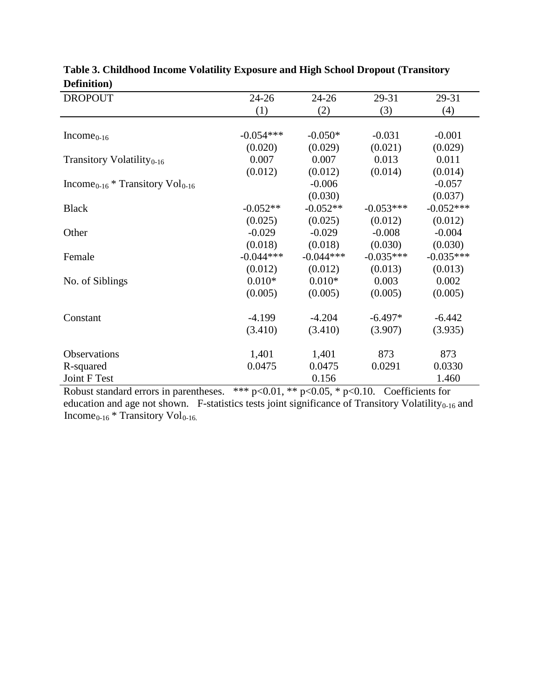| <b>DROPOUT</b>                                   | $24 - 26$   | $24 - 26$   | 29-31       | 29-31       |
|--------------------------------------------------|-------------|-------------|-------------|-------------|
|                                                  | (1)         | (2)         | (3)         | (4)         |
|                                                  |             |             |             |             |
| Income $_{0-16}$                                 | $-0.054***$ | $-0.050*$   | $-0.031$    | $-0.001$    |
|                                                  | (0.020)     | (0.029)     | (0.021)     | (0.029)     |
| Transitory Volatility <sub>0-16</sub>            | 0.007       | 0.007       | 0.013       | 0.011       |
|                                                  | (0.012)     | (0.012)     | (0.014)     | (0.014)     |
| Income <sub>0-16</sub> * Transitory $Vol_{0-16}$ |             | $-0.006$    |             | $-0.057$    |
|                                                  |             | (0.030)     |             | (0.037)     |
| <b>Black</b>                                     | $-0.052**$  | $-0.052**$  | $-0.053***$ | $-0.052***$ |
|                                                  | (0.025)     | (0.025)     | (0.012)     | (0.012)     |
| Other                                            | $-0.029$    | $-0.029$    | $-0.008$    | $-0.004$    |
|                                                  | (0.018)     | (0.018)     | (0.030)     | (0.030)     |
| Female                                           | $-0.044***$ | $-0.044***$ | $-0.035***$ | $-0.035***$ |
|                                                  | (0.012)     | (0.012)     | (0.013)     | (0.013)     |
| No. of Siblings                                  | $0.010*$    | $0.010*$    | 0.003       | 0.002       |
|                                                  | (0.005)     | (0.005)     | (0.005)     | (0.005)     |
| Constant                                         | $-4.199$    | $-4.204$    | $-6.497*$   | $-6.442$    |
|                                                  | (3.410)     | (3.410)     | (3.907)     | (3.935)     |
|                                                  |             |             |             |             |
| Observations                                     | 1,401       | 1,401       | 873         | 873         |
| R-squared                                        | 0.0475      | 0.0475      | 0.0291      | 0.0330      |
| Joint F Test                                     |             | 0.156       |             | 1.460       |

|                     | Table 3. Childhood Income Volatility Exposure and High School Dropout (Transitory |
|---------------------|-----------------------------------------------------------------------------------|
| <b>Definition</b> ) |                                                                                   |

Robust standard errors in parentheses. \*\*\*  $p<0.01$ , \*\*  $p<0.05$ , \*  $p<0.10$ . Coefficients for education and age not shown. F-statistics tests joint significance of Transitory Volatility<sub>0-16</sub> and Income<sub>0-16</sub> \* Transitory  $\text{Vol}_{0-16}$ .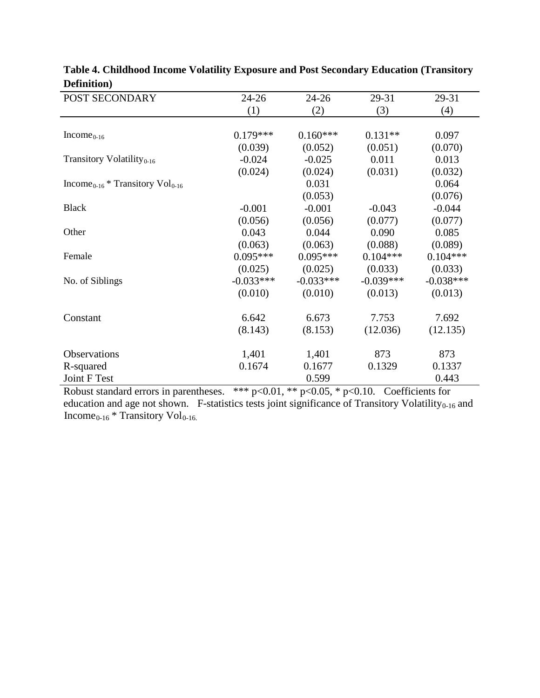| POST SECONDARY                                            | $24 - 26$   | $24 - 26$   | 29-31       | 29-31       |
|-----------------------------------------------------------|-------------|-------------|-------------|-------------|
|                                                           | (1)         | (2)         | (3)         | (4)         |
|                                                           |             |             |             |             |
| Income <sub>0-16</sub>                                    | $0.179***$  | $0.160***$  | $0.131**$   | 0.097       |
|                                                           | (0.039)     | (0.052)     | (0.051)     | (0.070)     |
| Transitory Volatility <sub>0-16</sub>                     | $-0.024$    | $-0.025$    | 0.011       | 0.013       |
|                                                           | (0.024)     | (0.024)     | (0.031)     | (0.032)     |
| Income <sub>0-16</sub> * Transitory $\mathrm{Vol}_{0-16}$ |             | 0.031       |             | 0.064       |
|                                                           |             | (0.053)     |             | (0.076)     |
| <b>Black</b>                                              | $-0.001$    | $-0.001$    | $-0.043$    | $-0.044$    |
|                                                           | (0.056)     | (0.056)     | (0.077)     | (0.077)     |
| Other                                                     | 0.043       | 0.044       | 0.090       | 0.085       |
|                                                           | (0.063)     | (0.063)     | (0.088)     | (0.089)     |
| Female                                                    | $0.095***$  | $0.095***$  | $0.104***$  | $0.104***$  |
|                                                           | (0.025)     | (0.025)     | (0.033)     | (0.033)     |
| No. of Siblings                                           | $-0.033***$ | $-0.033***$ | $-0.039***$ | $-0.038***$ |
|                                                           | (0.010)     | (0.010)     | (0.013)     | (0.013)     |
| Constant                                                  | 6.642       | 6.673       | 7.753       | 7.692       |
|                                                           | (8.143)     | (8.153)     | (12.036)    | (12.135)    |
| Observations                                              | 1,401       | 1,401       | 873         | 873         |
| R-squared                                                 | 0.1674      | 0.1677      | 0.1329      | 0.1337      |
| Joint F Test                                              |             | 0.599       |             | 0.443       |
|                                                           |             |             |             |             |

| Table 4. Childhood Income Volatility Exposure and Post Secondary Education (Transitory |  |
|----------------------------------------------------------------------------------------|--|
| <b>Definition</b> )                                                                    |  |

Robust standard errors in parentheses. \*\*\*  $p<0.01$ , \*\*  $p<0.05$ , \*  $p<0.10$ . Coefficients for education and age not shown. F-statistics tests joint significance of Transitory Volatility<sub>0-16</sub> and Income<sub>0-16</sub> \* Transitory  $\text{Vol}_{0-16}$ .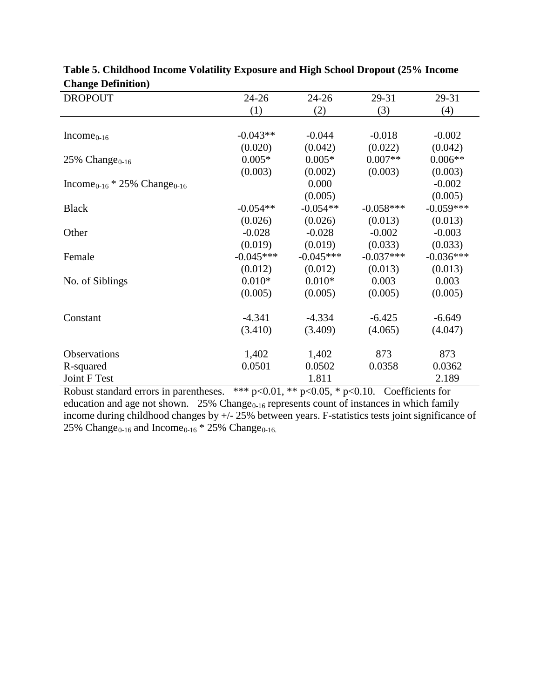| 0                                                   |             |             |             |             |
|-----------------------------------------------------|-------------|-------------|-------------|-------------|
| <b>DROPOUT</b>                                      | $24 - 26$   | $24 - 26$   | 29-31       | 29-31       |
|                                                     | (1)         | (2)         | (3)         | (4)         |
|                                                     |             |             |             |             |
| $Income0-16$                                        | $-0.043**$  | $-0.044$    | $-0.018$    | $-0.002$    |
|                                                     | (0.020)     | (0.042)     | (0.022)     | (0.042)     |
| 25% $Change0-16$                                    | $0.005*$    | $0.005*$    | $0.007**$   | $0.006**$   |
|                                                     | (0.003)     | (0.002)     | (0.003)     | (0.003)     |
| Income <sub>0-16</sub> * 25% Change <sub>0-16</sub> |             | 0.000       |             | $-0.002$    |
|                                                     |             | (0.005)     |             | (0.005)     |
| <b>Black</b>                                        | $-0.054**$  | $-0.054**$  | $-0.058***$ | $-0.059***$ |
|                                                     | (0.026)     | (0.026)     | (0.013)     | (0.013)     |
| Other                                               | $-0.028$    | $-0.028$    | $-0.002$    | $-0.003$    |
|                                                     | (0.019)     | (0.019)     | (0.033)     | (0.033)     |
| Female                                              | $-0.045***$ | $-0.045***$ | $-0.037***$ | $-0.036***$ |
|                                                     | (0.012)     | (0.012)     | (0.013)     | (0.013)     |
| No. of Siblings                                     | $0.010*$    | $0.010*$    | 0.003       | 0.003       |
|                                                     | (0.005)     | (0.005)     | (0.005)     | (0.005)     |
|                                                     |             |             |             |             |
| Constant                                            | $-4.341$    | $-4.334$    | $-6.425$    | $-6.649$    |
|                                                     | (3.410)     | (3.409)     | (4.065)     | (4.047)     |
| Observations                                        | 1,402       | 1,402       | 873         | 873         |
| R-squared                                           | 0.0501      | 0.0502      | 0.0358      | 0.0362      |
| Joint F Test                                        |             | 1.811       |             | 2.189       |
|                                                     |             |             |             |             |

| Table 5. Childhood Income Volatility Exposure and High School Dropout (25% Income |  |  |
|-----------------------------------------------------------------------------------|--|--|
| <b>Change Definition</b> )                                                        |  |  |

Robust standard errors in parentheses. \*\*\*  $p<0.01$ , \*\*  $p<0.05$ , \*  $p<0.10$ . Coefficients for education and age not shown.  $25\%$  Change<sub>0-16</sub> represents count of instances in which family income during childhood changes by +/- 25% between years. F-statistics tests joint significance of 25% Change<sub>0-16</sub> and Income<sub>0-16</sub> \* 25% Change<sub>0-16.</sub>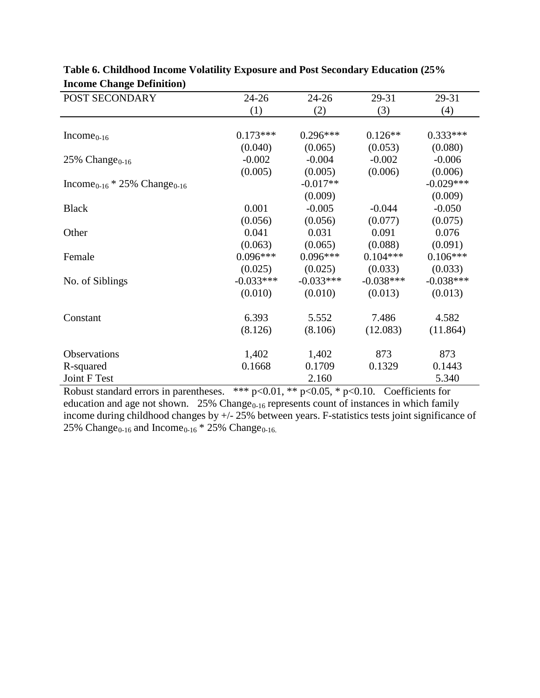| POST SECONDARY                                      | $24 - 26$   | $24 - 26$   | 29-31       | 29-31       |
|-----------------------------------------------------|-------------|-------------|-------------|-------------|
|                                                     | (1)         | (2)         | (3)         | (4)         |
|                                                     |             |             |             |             |
| Income <sub>0-16</sub>                              | $0.173***$  | $0.296***$  | $0.126**$   | $0.333***$  |
|                                                     | (0.040)     | (0.065)     | (0.053)     | (0.080)     |
| 25% $Change0-16$                                    | $-0.002$    | $-0.004$    | $-0.002$    | $-0.006$    |
|                                                     | (0.005)     | (0.005)     | (0.006)     | (0.006)     |
| Income <sub>0-16</sub> * 25% Change <sub>0-16</sub> |             | $-0.017**$  |             | $-0.029***$ |
|                                                     |             | (0.009)     |             | (0.009)     |
| <b>Black</b>                                        | 0.001       | $-0.005$    | $-0.044$    | $-0.050$    |
|                                                     | (0.056)     | (0.056)     | (0.077)     | (0.075)     |
| Other                                               | 0.041       | 0.031       | 0.091       | 0.076       |
|                                                     | (0.063)     | (0.065)     | (0.088)     | (0.091)     |
| Female                                              | $0.096***$  | $0.096***$  | $0.104***$  | $0.106***$  |
|                                                     | (0.025)     | (0.025)     | (0.033)     | (0.033)     |
| No. of Siblings                                     | $-0.033***$ | $-0.033***$ | $-0.038***$ | $-0.038***$ |
|                                                     | (0.010)     | (0.010)     | (0.013)     | (0.013)     |
|                                                     |             |             |             |             |
| Constant                                            | 6.393       | 5.552       | 7.486       | 4.582       |
|                                                     | (8.126)     | (8.106)     | (12.083)    | (11.864)    |
| Observations                                        | 1,402       | 1,402       | 873         | 873         |
| R-squared                                           | 0.1668      | 0.1709      | 0.1329      | 0.1443      |
| Joint F Test                                        |             | 2.160       |             | 5.340       |

| Table 6. Childhood Income Volatility Exposure and Post Secondary Education (25%) |  |
|----------------------------------------------------------------------------------|--|
| <b>Income Change Definition</b> )                                                |  |

Robust standard errors in parentheses. \*\*\*  $p<0.01$ , \*\*  $p<0.05$ , \*  $p<0.10$ . Coefficients for education and age not shown.  $25\%$  Change<sub>0-16</sub> represents count of instances in which family income during childhood changes by +/- 25% between years. F-statistics tests joint significance of 25% Change<sub>0-16</sub> and Income<sub>0-16</sub> \* 25% Change<sub>0-16.</sub>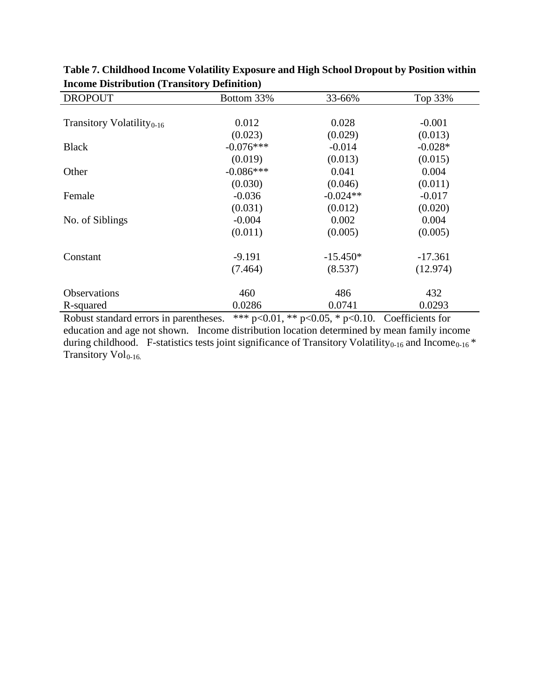| <b>DROPOUT</b>                        | Bottom 33%  | 33-66%     | Top 33%                        |
|---------------------------------------|-------------|------------|--------------------------------|
|                                       |             |            |                                |
| Transitory Volatility <sub>0-16</sub> | 0.012       | 0.028      | $-0.001$                       |
|                                       | (0.023)     | (0.029)    | (0.013)                        |
| <b>Black</b>                          | $-0.076***$ | $-0.014$   | $-0.028*$                      |
|                                       | (0.019)     | (0.013)    | (0.015)                        |
| Other                                 | $-0.086***$ | 0.041      | 0.004                          |
|                                       | (0.030)     | (0.046)    | (0.011)                        |
| Female                                | $-0.036$    | $-0.024**$ | $-0.017$                       |
|                                       | (0.031)     | (0.012)    | (0.020)                        |
| No. of Siblings                       | $-0.004$    | 0.002      | 0.004                          |
|                                       | (0.011)     | (0.005)    | (0.005)                        |
| Constant                              | $-9.191$    | $-15.450*$ | $-17.361$                      |
|                                       | (7.464)     | (8.537)    | (12.974)                       |
| Observations                          | 460         | 486        | 432                            |
| R-squared                             | 0.0286      | 0.0741     | 0.0293<br>$\sim$ $\sim$ $\sim$ |

**Table 7. Childhood Income Volatility Exposure and High School Dropout by Position within Income Distribution (Transitory Definition)** 

Robust standard errors in parentheses. \*\*\*  $p<0.01$ , \*\*  $p<0.05$ , \*  $p<0.10$ . Coefficients for education and age not shown. Income distribution location determined by mean family income during childhood. F-statistics tests joint significance of Transitory Volatility<sub>0-16</sub> and Income<sub>0-16</sub> \* Transitory Vol<sub>0-16.</sub>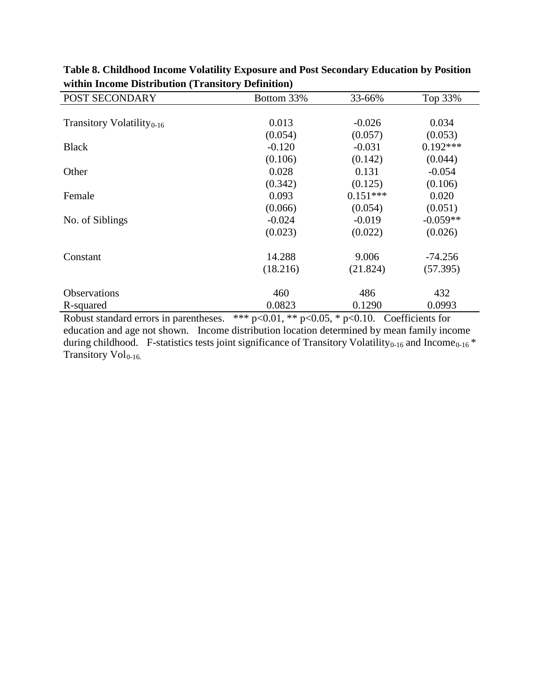| POST SECONDARY                                                                                          | Bottom 33% | 33-66%     | Top 33%    |
|---------------------------------------------------------------------------------------------------------|------------|------------|------------|
|                                                                                                         |            |            |            |
| Transitory Volatility <sub>0-16</sub>                                                                   | 0.013      | $-0.026$   | 0.034      |
|                                                                                                         | (0.054)    | (0.057)    | (0.053)    |
| <b>Black</b>                                                                                            | $-0.120$   | $-0.031$   | $0.192***$ |
|                                                                                                         | (0.106)    | (0.142)    | (0.044)    |
| Other                                                                                                   | 0.028      | 0.131      | $-0.054$   |
|                                                                                                         | (0.342)    | (0.125)    | (0.106)    |
| Female                                                                                                  | 0.093      | $0.151***$ | 0.020      |
|                                                                                                         | (0.066)    | (0.054)    | (0.051)    |
| No. of Siblings                                                                                         | $-0.024$   | $-0.019$   | $-0.059**$ |
|                                                                                                         | (0.023)    | (0.022)    | (0.026)    |
|                                                                                                         |            |            |            |
| Constant                                                                                                | 14.288     | 9.006      | $-74.256$  |
|                                                                                                         | (18.216)   | (21.824)   | (57.395)   |
|                                                                                                         |            |            |            |
| <b>Observations</b>                                                                                     | 460        | 486        | 432        |
| R-squared                                                                                               | 0.0823     | 0.1290     | 0.0993     |
| *** $p<0.01$ , ** $p<0.05$ , * $p<0.10$ .<br>Robust standard errors in parentheses.<br>Coefficients for |            |            |            |

**Table 8. Childhood Income Volatility Exposure and Post Secondary Education by Position within Income Distribution (Transitory Definition)** 

Robust standard errors in parentheses. \*\*\*  $p<0.01$ , \*\*  $p<0.05$ , \*  $p<0.10$ . Coefficients for education and age not shown. Income distribution location determined by mean family income during childhood. F-statistics tests joint significance of Transitory Volatility<sub>0-16</sub> and Income<sub>0-16</sub> \* Transitory Vol<sub>0-16.</sub>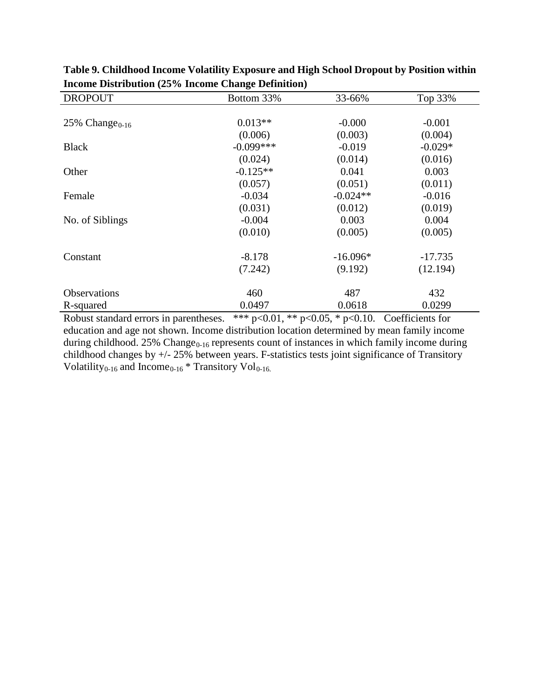| <b>DROPOUT</b>   | Bottom 33%                                                                                                                                                                                                                                                                                                                                                                                                                                                                                                                              | 33-66%           | Top 33%                                        |
|------------------|-----------------------------------------------------------------------------------------------------------------------------------------------------------------------------------------------------------------------------------------------------------------------------------------------------------------------------------------------------------------------------------------------------------------------------------------------------------------------------------------------------------------------------------------|------------------|------------------------------------------------|
|                  |                                                                                                                                                                                                                                                                                                                                                                                                                                                                                                                                         |                  |                                                |
| 25% $Change0-16$ | $0.013**$                                                                                                                                                                                                                                                                                                                                                                                                                                                                                                                               | $-0.000$         | $-0.001$                                       |
|                  | (0.006)                                                                                                                                                                                                                                                                                                                                                                                                                                                                                                                                 | (0.003)          | (0.004)                                        |
| <b>Black</b>     | $-0.099***$                                                                                                                                                                                                                                                                                                                                                                                                                                                                                                                             | $-0.019$         | $-0.029*$                                      |
|                  | (0.024)                                                                                                                                                                                                                                                                                                                                                                                                                                                                                                                                 | (0.014)          | (0.016)                                        |
| Other            | $-0.125**$                                                                                                                                                                                                                                                                                                                                                                                                                                                                                                                              | 0.041            | 0.003                                          |
|                  | (0.057)                                                                                                                                                                                                                                                                                                                                                                                                                                                                                                                                 | (0.051)          | (0.011)                                        |
| Female           | $-0.034$                                                                                                                                                                                                                                                                                                                                                                                                                                                                                                                                | $-0.024**$       | $-0.016$                                       |
|                  | (0.031)                                                                                                                                                                                                                                                                                                                                                                                                                                                                                                                                 | (0.012)          | (0.019)                                        |
| No. of Siblings  | $-0.004$                                                                                                                                                                                                                                                                                                                                                                                                                                                                                                                                | 0.003            | 0.004                                          |
|                  | (0.010)                                                                                                                                                                                                                                                                                                                                                                                                                                                                                                                                 | (0.005)          | (0.005)                                        |
| Constant         | $-8.178$                                                                                                                                                                                                                                                                                                                                                                                                                                                                                                                                | $-16.096*$       | $-17.735$                                      |
|                  | (7.242)                                                                                                                                                                                                                                                                                                                                                                                                                                                                                                                                 | (9.192)          | (12.194)                                       |
| Observations     | 460                                                                                                                                                                                                                                                                                                                                                                                                                                                                                                                                     | 487              | 432                                            |
| R-squared        | 0.0497                                                                                                                                                                                                                                                                                                                                                                                                                                                                                                                                  | 0.0618           | 0.0299                                         |
| n 1 <i>i 1</i> 1 | مله مله مله<br>$\overline{\Omega}$ $\overline{\Omega}$ $\overline{\Omega}$ $\overline{\Omega}$ $\overline{\Omega}$ $\overline{\Omega}$ $\overline{\Omega}$ $\overline{\Omega}$ $\overline{\Omega}$ $\overline{\Omega}$ $\overline{\Omega}$ $\overline{\Omega}$ $\overline{\Omega}$ $\overline{\Omega}$ $\overline{\Omega}$ $\overline{\Omega}$ $\overline{\Omega}$ $\overline{\Omega}$ $\overline{\Omega}$ $\overline{\Omega}$ $\overline{\Omega}$ $\overline{\Omega}$ $\overline{\Omega}$ $\overline{\Omega}$ $\overline{\$<br>مله مله | $0.05 \div 0.10$ | $\mathbf{c} \mathbf{c}$ $\mathbf{c}$<br>$\sim$ |

**Table 9. Childhood Income Volatility Exposure and High School Dropout by Position within Income Distribution (25% Income Change Definition)**

Robust standard errors in parentheses. \*\*\* p<0.01, \*\* p<0.05, \* p<0.10. Coefficients for education and age not shown. Income distribution location determined by mean family income during childhood. 25% Change<sub>0-16</sub> represents count of instances in which family income during childhood changes by +/- 25% between years. F-statistics tests joint significance of Transitory Volatility<sub>0-16</sub> and Income<sub>0-16</sub> \* Transitory Vol<sub>0-16.</sub>